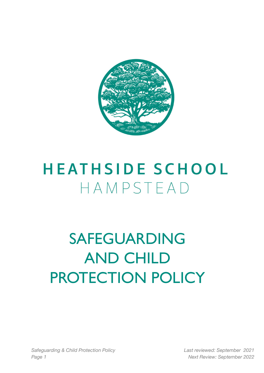

# **HEATHSIDE SCHOOL** HAMPSTEAD

# SAFEGUARDING AND CHILD PROTECTION POLICY

*Safeguarding & Child Protection Policy Last reviewed: September 2021 Page 1 Next Review: September 2022*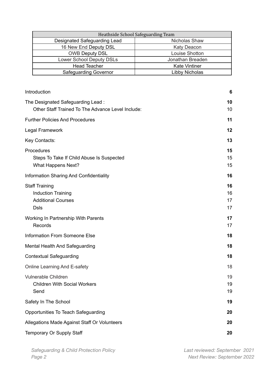| Heathside School Safeguarding Team |                      |
|------------------------------------|----------------------|
| Designated Safeguarding Lead       | Nicholas Shaw        |
| 16 New End Deputy DSL              | <b>Katy Deacon</b>   |
| <b>OWB Deputy DSL</b>              | Louise Shotton       |
| <b>Lower School Deputy DSLs</b>    | Jonathan Breaden     |
| <b>Head Teacher</b>                | <b>Kate Vintiner</b> |
| <b>Safeguarding Governor</b>       | Libby Nicholas       |

| Introduction                                                                                   | 6                    |
|------------------------------------------------------------------------------------------------|----------------------|
| The Designated Safeguarding Lead:<br>Other Staff Trained To The Advance Level Include:         | 10<br>10             |
| <b>Further Policies And Procedures</b>                                                         | 11                   |
| Legal Framework                                                                                | 12                   |
| Key Contacts:                                                                                  | 13                   |
| Procedures<br>Steps To Take If Child Abuse Is Suspected<br><b>What Happens Next?</b>           | 15<br>15<br>15       |
| Information Sharing And Confidentiality                                                        | 16                   |
| <b>Staff Training</b><br><b>Induction Training</b><br><b>Additional Courses</b><br><b>Dsls</b> | 16<br>16<br>17<br>17 |
| Working In Partnership With Parents<br>Records                                                 | 17<br>17             |
| <b>Information From Someone Else</b>                                                           | 18                   |
| <b>Mental Health And Safeguarding</b>                                                          | 18                   |
| <b>Contextual Safeguarding</b>                                                                 | 18                   |
| Online Learning And E-safety                                                                   | 18                   |
| <b>Vulnerable Children</b><br><b>Children With Social Workers</b><br>Send                      | 19<br>19<br>19       |
| Safety In The School                                                                           | 19                   |
| Opportunities To Teach Safeguarding                                                            | 20                   |
| Allegations Made Against Staff Or Volunteers                                                   | 20                   |
| Temporary Or Supply Staff                                                                      | 20                   |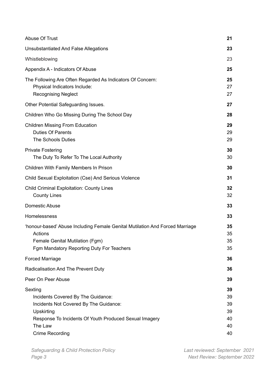| Abuse Of Trust                                                                                                                                                                                       | 21                                     |
|------------------------------------------------------------------------------------------------------------------------------------------------------------------------------------------------------|----------------------------------------|
| Unsubstantiated And False Allegations                                                                                                                                                                | 23                                     |
| Whistleblowing                                                                                                                                                                                       | 23                                     |
| Appendix A - Indicators Of Abuse                                                                                                                                                                     | 25                                     |
| The Following Are Often Regarded As Indicators Of Concern:<br>Physical Indicators Include:<br><b>Recognising Neglect</b>                                                                             | 25<br>27<br>27                         |
| Other Potential Safeguarding Issues.                                                                                                                                                                 | 27                                     |
| Children Who Go Missing During The School Day                                                                                                                                                        | 28                                     |
| <b>Children Missing From Education</b><br><b>Duties Of Parents</b><br><b>The Schools Duties</b>                                                                                                      | 29<br>29<br>29                         |
| <b>Private Fostering</b><br>The Duty To Refer To The Local Authority                                                                                                                                 | 30<br>30                               |
| Children With Family Members In Prison                                                                                                                                                               | 30                                     |
| Child Sexual Exploitation (Cse) And Serious Violence                                                                                                                                                 | 31                                     |
| <b>Child Criminal Exploitation: County Lines</b><br><b>County Lines</b>                                                                                                                              | 32<br>32                               |
| Domestic Abuse                                                                                                                                                                                       | 33                                     |
| Homelessness                                                                                                                                                                                         | 33                                     |
| 'honour-based' Abuse Including Female Genital Mutilation And Forced Marriage<br>Actions<br>Female Genital Mutilation (Fgm)<br>Fgm Mandatory Reporting Duty For Teachers                              | 35<br>35<br>35<br>35                   |
| <b>Forced Marriage</b>                                                                                                                                                                               | 36                                     |
| Radicalisation And The Prevent Duty                                                                                                                                                                  | 36                                     |
| Peer On Peer Abuse                                                                                                                                                                                   | 39                                     |
| Sexting<br>Incidents Covered By The Guidance:<br>Incidents Not Covered By The Guidance:<br>Upskirting<br>Response To Incidents Of Youth Produced Sexual Imagery<br>The Law<br><b>Crime Recording</b> | 39<br>39<br>39<br>39<br>40<br>40<br>40 |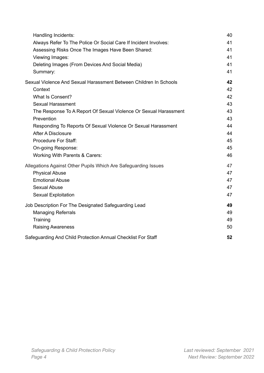<span id="page-3-0"></span>

| Handling Incidents:                                               | 40 |
|-------------------------------------------------------------------|----|
| Always Refer To The Police Or Social Care If Incident Involves:   | 41 |
| Assessing Risks Once The Images Have Been Shared:                 | 41 |
| Viewing Images:                                                   | 41 |
| Deleting Images (From Devices And Social Media)                   | 41 |
| Summary:                                                          | 41 |
| Sexual Violence And Sexual Harassment Between Children In Schools | 42 |
| Context                                                           | 42 |
| <b>What Is Consent?</b>                                           | 42 |
| <b>Sexual Harassment</b>                                          | 43 |
| The Response To A Report Of Sexual Violence Or Sexual Harassment  | 43 |
| Prevention                                                        | 43 |
| Responding To Reports Of Sexual Violence Or Sexual Harassment     | 44 |
| <b>After A Disclosure</b>                                         | 44 |
| <b>Procedure For Staff:</b>                                       | 45 |
| On-going Response:                                                | 45 |
| <b>Working With Parents &amp; Carers:</b>                         | 46 |
| Allegations Against Other Pupils Which Are Safeguarding Issues    | 47 |
| <b>Physical Abuse</b>                                             | 47 |
| <b>Emotional Abuse</b>                                            | 47 |
| <b>Sexual Abuse</b>                                               | 47 |
| <b>Sexual Exploitation</b>                                        | 47 |
| Job Description For The Designated Safeguarding Lead              | 49 |
| <b>Managing Referrals</b>                                         | 49 |
| Training                                                          | 49 |
| <b>Raising Awareness</b>                                          | 50 |
| Safeguarding And Child Protection Annual Checklist For Staff      | 52 |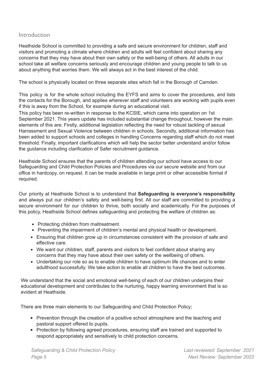# Introduction

Heathside School is committed to providing a safe and secure environment for children, staff and visitors and promoting a climate where children and adults will feel confident about sharing any concerns that they may have about their own safety or the well-being of others. All adults in our school take all welfare concerns seriously and encourage children and young people to talk to us about anything that worries them. We will always act in the best interest of the child.

The school is physically located on three separate sites which fall in the Borough of Camden.

This policy is for the whole school including the EYFS and aims to cover the procedures, and lists the contacts for the Borough, and applies wherever staff and volunteers are working with pupils even if this is away from the School, for example during an educational visit.

This policy has been re-written in response to the KCSIE, which came into operation on 1st September 2021. This years update has included substantial change throughout, however the main elements of this are; Firstly, additional legislation reflecting the need for robust tackling of sexual Harrassment and Sexual Violence between children in schools. Secondly, additional information has been added to support schools and colleges in handling Concerns regarding staff which do not meet threshold. Finally, important clarifications which will help the sector better understand and/or follow the guidance including clarification of Safer recruitment guidance.

Heathside School ensures that the parents of children attending our school have access to our Safeguarding and Child Protection Policies and Procedures via our secure website and from our office in hardcopy, on request. It can be made available in large print or other accessible format if required.

Our priority at Heathside School is to understand that **Safeguarding is everyone's responsibility** and always put our children's safety and well-being first. All our staff are committed to providing a secure environment for our children to thrive, both socially and academically. For the purposes of this policy, Heathside School defines safeguarding and protecting the welfare of children as:

- Protecting children from maltreatment.
- Preventing the impairment of children's mental and physical health or development.
- Ensuring that children grow up in circumstances consistent with the provision of safe and effective care.
- We want our children, staff, parents and visitors to feel confident about sharing any concerns that they may have about their own safety or the wellbeing of others.
- Undertaking our role so as to enable children to have optimum life chances and to enter adulthood successfully. We take action to enable all children to have the best outcomes.

We understand that the social and emotional well-being of each of our children underpins their educational development and contributes to the nurturing, happy learning environment that is so evident at Heathside.

There are three main elements to our Safeguarding and Child Protection Policy;

- Prevention through the creation of a positive school atmosphere and the teaching and pastoral support offered to pupils.
- Protection by following agreed procedures, ensuring staff are trained and supported to respond appropriately and sensitively to child protection concerns.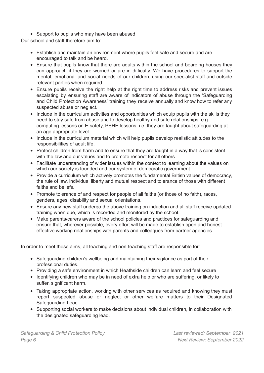• Support to pupils who may have been abused.

Our school and staff therefore aim to:

- Establish and maintain an environment where pupils feel safe and secure and are encouraged to talk and be heard.
- Ensure that pupils know that there are adults within the school and boarding houses they can approach if they are worried or are in difficulty. We have procedures to support the mental, emotional and social needs of our children, using our specialist staff and outside relevant parties when required.
- Ensure pupils receive the right help at the right time to address risks and prevent issues escalating by ensuring staff are aware of indicators of abuse through the 'Safeguarding and Child Protection Awareness' training they receive annually and know how to refer any suspected abuse or neglect.
- Include in the curriculum activities and opportunities which equip pupils with the skills they need to stay safe from abuse and to develop healthy and safe relationships, e.g. computing lessons on E-safety, PSHE lessons. i.e. they are taught about safeguarding at an age appropriate level.
- Include in the curriculum material which will help pupils develop realistic attitudes to the responsibilities of adult life.
- Protect children from harm and to ensure that they are taught in a way that is consistent with the law and our values and to promote respect for all others.
- Facilitate understanding of wider issues within the context to learning about the values on which our society is founded and our system of democratic government.
- Provide a curriculum which actively promotes the fundamental British values of democracy, the rule of law, individual liberty and mutual respect and tolerance of those with different faiths and beliefs.
- Promote tolerance of and respect for people of all faiths (or those of no faith), races, genders, ages, disability and sexual orientations.
- Ensure any new staff undergo the above training on induction and all staff receive updated training when due, which is recorded and monitored by the school.
- Make parents/carers aware of the school policies and practices for safeguarding and ensure that, wherever possible, every effort will be made to establish open and honest effective working relationships with parents and colleagues from partner agencies

In order to meet these aims, all teaching and non-teaching staff are responsible for:

- Safeguarding children's wellbeing and maintaining their vigilance as part of their professional duties.
- Providing a safe environment in which Heathside children can learn and feel secure
- Identifying children who may be in need of extra help or who are suffering, or likely to suffer, significant harm.
- Taking appropriate action, working with other services as required and knowing they must report suspected abuse or neglect or other welfare matters to their Designated Safeguarding Lead.
- Supporting social workers to make decisions about individual children, in collaboration with the designated safeguarding lead.

*Safeguarding & Child Protection Policy Last reviewed: September 2021 Page 6 Next Review: September 2022*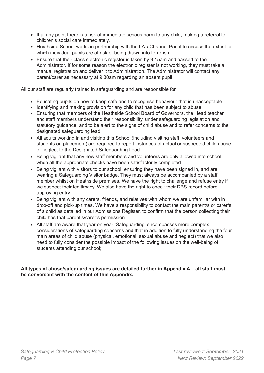- If at any point there is a risk of immediate serious harm to any child, making a referral to children's social care immediately.
- Heathside School works in partnership with the LA's Channel Panel to assess the extent to which individual pupils are at risk of being drawn into terrorism.
- Ensure that their class electronic register is taken by 9.15am and passed to the Administrator. If for some reason the electronic register is not working, they must take a manual registration and deliver it to Administration. The Administrator will contact any parent/carer as necessary at 9.30am regarding an absent pupil.

All our staff are regularly trained in safeguarding and are responsible for:

- Educating pupils on how to keep safe and to recognise behaviour that is unacceptable.
- Identifying and making provision for any child that has been subject to abuse.
- Ensuring that members of the Heathside School Board of Governors, the Head teacher and staff members understand their responsibility, under safeguarding legislation and statutory guidance, and to be alert to the signs of child abuse and to refer concerns to the designated safeguarding lead.
- All adults working in and visiting this School (including visiting staff, volunteers and students on placement) are required to report instances of actual or suspected child abuse or neglect to the Designated Safeguarding Lead
- Being vigilant that any new staff members and volunteers are only allowed into school when all the appropriate checks have been satisfactorily completed.
- Being vigilant with visitors to our school, ensuring they have been signed in, and are wearing a Safeguarding Visitor badge. They must always be accompanied by a staff member whilst on Heathside premises. We have the right to challenge and refuse entry if we suspect their legitimacy. We also have the right to check their DBS record before approving entry.
- Being vigilant with any carers, friends, and relatives with whom we are unfamiliar with in drop-off and pick-up times. We have a responsibility to contact the main parent/s or carer/s of a child as detailed in our Admissions Register, to confirm that the person collecting their child has that parent's/carer's permission.
- All staff are aware that year on year 'Safeguarding' encompasses more complex considerations of safeguarding concerns and that in addition to fully understanding the four main areas of child abuse (physical, emotional, sexual abuse and neglect) that we also need to fully consider the possible impact of the following issues on the well-being of students attending our school;

# **All types of abuse/safeguarding issues are detailed further in Appendix A – all staff must be conversant with the content of this Appendix.**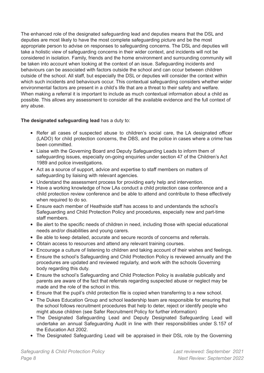The enhanced role of the designated safeguarding lead and deputies means that the DSL and deputies are most likely to have the most complete safeguarding picture and be the most appropriate person to advise on responses to safeguarding concerns. The DSL and deputies will take a holistic view of safeguarding concerns in their wider context, and incidents will not be considered in isolation. Family, friends and the home environment and surrounding community will be taken into account when looking at the context of an issue. Safeguarding incidents and behaviours can be associated with factors outside the school and can occur between children outside of the school. All staff, but especially the DSL or deputies will consider the context within which such incidents and behaviours occur. This contextual safeguarding considers whether wider environmental factors are present in a child's life that are a threat to their safety and welfare. When making a referral it is important to include as much contextual information about a child as possible. This allows any assessment to consider all the available evidence and the full context of any abuse.

# **The designated safeguarding lead** has a duty to:

- Refer all cases of suspected abuse to children's social care, the LA designated officer (LADO) for child protection concerns, the DBS, and the police in cases where a crime has been committed.
- Liaise with the Governing Board and Deputy Safeguarding Leads to inform them of safeguarding issues, especially on-going enquiries under section 47 of the Children's Act 1989 and police investigations.
- Act as a source of support, advice and expertise to staff members on matters of safeguarding by liaising with relevant agencies.
- Understand the assessment process for providing early help and intervention.
- Have a working knowledge of how LAs conduct a child protection case conference and a child protection review conference and be able to attend and contribute to these effectively when required to do so.
- Ensure each member of Heathside staff has access to and understands the school's Safeguarding and Child Protection Policy and procedures, especially new and part-time staff members.
- Be alert to the specific needs of children in need, including those with special educational needs and/or disabilities and young carers.
- Be able to keep detailed, accurate and secure records of concerns and referrals.
- Obtain access to resources and attend any relevant training courses.
- Encourage a culture of listening to children and taking account of their wishes and feelings.
- Ensure the school's Safeguarding and Child Protection Policy is reviewed annually and the procedures are updated and reviewed regularly, and work with the schools Governing body regarding this duty.
- Ensure the school's Safeguarding and Child Protection Policy is available publically and parents are aware of the fact that referrals regarding suspected abuse or neglect may be made and the role of the school in this.
- Ensure that the pupil's child protection file is copied when transferring to a new school.
- The Dukes Education Group and school leadership team are responsible for ensuring that the school follows recruitment procedures that help to deter, reject or identify people who might abuse children (see Safer Recruitment Policy for further information)
- The Designated Safeguarding Lead and Deputy Designated Safeguarding Lead will undertake an annual Safeguarding Audit in line with their responsibilities under S.157 of the Education Act 2002.
- The Designated Safeguarding Lead will be appraised in their DSL role by the Governing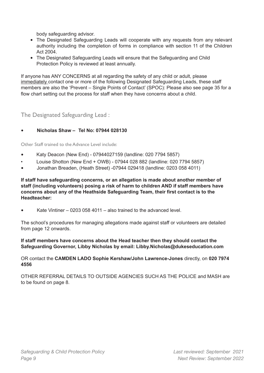body safeguarding advisor.

- The Designated Safeguarding Leads will cooperate with any requests from any relevant authority including the completion of forms in compliance with section 11 of the Children Act 2004.
- The Designated Safeguarding Leads will ensure that the Safeguarding and Child Protection Policy is reviewed at least annually.

If anyone has ANY CONCERNS at all regarding the safety of any child or adult, please immediately contact one or more of the following Designated Safeguarding Leads, these staff members are also the 'Prevent – Single Points of Contact' (SPOC): Please also see page 35 for a flow chart setting out the process for staff when they have concerns about a child.

<span id="page-8-0"></span>The Designated Safeguarding Lead :

# • **Nicholas Shaw – Tel No: 07944 028130**

<span id="page-8-1"></span>Other Staff trained to the Advance Level include:

- Katy Deacon (New End) 07944027159 (landline: 020 7794 5857)
- Louise Shotton (New End + OWB) 07944 028 882 (landline: 020 7794 5857)
- Jonathan Breaden, (Heath Street) -07944 029418 (landline: 0203 058 4011)

**If staff have safeguarding concerns, or an allegation is made about another member of staff (including volunteers) posing a risk of harm to children AND if staff members have concerns about any of the Heathside Safeguarding Team, their first contact is to the Headteacher:**

• Kate Vintiner – 0203 058 4011 – also trained to the advanced level.

The school's procedures for managing allegations made against staff or volunteers are detailed from page 12 onwards.

#### **If staff members have concerns about the Head teacher then they should contact the Safeguarding Governor, Libby Nicholas by email: Libby.Nicholas@dukeseducation.com**

OR contact the **CAMDEN LADO Sophie Kershaw/John Lawrence-Jones** directly, on **020 7974 4556**

<span id="page-8-2"></span>OTHER REFERRAL DETAILS TO OUTSIDE AGENCIES SUCH AS THE POLICE and MASH are to be found on page 8.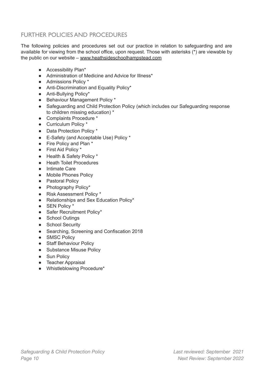# FURTHER POLICIES AND PROCEDURES

The following policies and procedures set out our practice in relation to safeguarding and are available for viewing from the school office, upon request. Those with asterisks (\*) are viewable by the public on our website – [www.heathside](http://www.heathside.net/)schoolhampstead.com

- Accessibility Plan\*
- Administration of Medicine and Advice for Illness<sup>\*</sup>
- Admissions Policy \*
- Anti-Discrimination and Equality Policy\*
- Anti-Bullying Policy\*
- Behaviour Management Policy \*
- Safeguarding and Child Protection Policy (which includes our Safeguarding response to children missing education) \*
- Complaints Procedure \*
- Curriculum Policy \*
- Data Protection Policy \*
- E-Safety (and Acceptable Use) Policy \*
- Fire Policy and Plan \*
- First Aid Policy \*
- Health & Safety Policy \*
- Heath Toilet Procedures
- Intimate Care
- Mobile Phones Policy
- Pastoral Policy
- Photography Policy\*
- Risk Assessment Policy \*
- Relationships and Sex Education Policy\*
- SEN Policy \*
- Safer Recruitment Policy\*
- School Outings
- School Security
- Searching, Screening and Confiscation 2018
- SMSC Policy
- Staff Behaviour Policy
- Substance Misuse Policy
- Sun Policy
- Teacher Appraisal
- Whistleblowing Procedure\*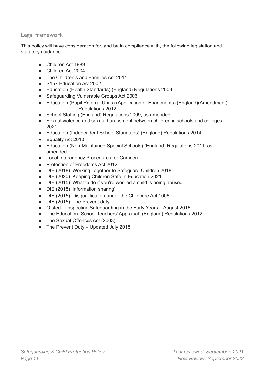# <span id="page-10-0"></span>Legal framework

This policy will have consideration for, and be in compliance with, the following legislation and statutory quidance:

- Children Act 1989
- Children Act 2004
- The Children's and Families Act 2014
- S157 Education Act 2002
- Education (Health Standards) (England) Regulations 2003
- Safeguarding Vulnerable Groups Act 2006
- Education (Pupil Referral Units) (Application of Enactments) (England)(Amendment) Regulations 2012
- School Staffing (England) Regulations 2009, as amended
- Sexual violence and sexual harassment between children in schools and colleges 2021
- Education (Independent School Standards) (England) Regulations 2014
- Equality Act 2010
- Education (Non-Maintained Special Schools) (England) Regulations 2011, as amended
- Local Interagency Procedures for Camden
- Protection of Freedoms Act 2012
- DfE (2018) 'Working Together to Safeguard Children 2018'
- DfE (2020) 'Keeping Children Safe in Education 2021'
- DfE (2015) 'What to do if you're worried a child is being abused'
- DfE (2018) 'Information sharing'
- DfE (2015) 'Disqualification under the Childcare Act 1006
- DfE (2015) 'The Prevent duty'
- Ofsted Inspecting Safeguarding in the Early Years August 2016
- The Education (School Teachers' Appraisal) (England) Regulations 2012
- The Sexual Offences Act (2003)
- The Prevent Duty Updated July 2015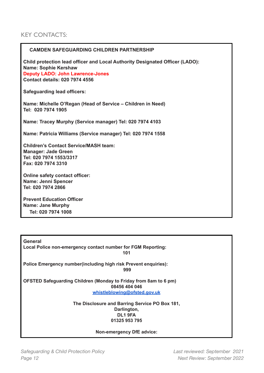# <span id="page-11-0"></span>KEY CONTACTS:

## **CAMDEN SAFEGUARDING CHILDREN PARTNERSHIP**

**Child protection lead officer and Local Authority Designated Officer (LADO): Name: Sophie Kershaw Deputy LADO: John Lawrence-Jones Contact details: 020 7974 4556**

**Safeguarding lead officers:**

**Name: Michelle O'Regan (Head of Service – Children in Need) Tel: 020 7974 1905**

**Name: Tracey Murphy (Service manager) Tel: 020 7974 4103**

**Name: Patricia Williams (Service manager) Tel: 020 7974 1558**

**Children's Contact Service/MASH team: Manager: Jade Green Tel: 020 7974 1553/3317 Fax: 020 7974 3310**

**Online safety contact officer: Name: Jenni Spencer Tel: 020 7974 2866**

**Prevent Education Officer Name: Jane Murphy Tel: 020 7974 1008**

| General                                                                 |  |
|-------------------------------------------------------------------------|--|
| Local Police non-emergency contact number for FGM Reporting:            |  |
| 101                                                                     |  |
| <b>Police Emergency number (including high risk Prevent enquiries):</b> |  |
| 999                                                                     |  |
| OFSTED Safeguarding Children (Monday to Friday from 8am to 6 pm)        |  |
| 08456 404 046                                                           |  |
| whistleblowing@ofsted.gov.uk                                            |  |
| The Disclosure and Barring Service PO Box 181,                          |  |
| Darlington,                                                             |  |
| DL19FA                                                                  |  |
| 01325 953 795                                                           |  |
| Non-emergency DfE advice:                                               |  |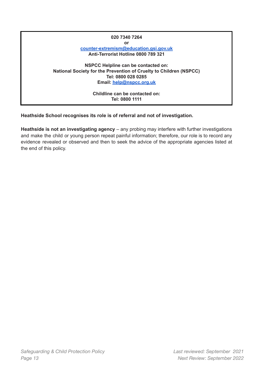# **020 7340 7264 or [counter-extremism@education.gsi.gov.uk](mailto:counter-extremism@education.gsi.gov.uk) Anti-Terrorist Hotline 0800 789 321 NSPCC Helpline can be contacted on: National Society for the Prevention of Cruelty to Children (NSPCC) Tel: 0800 028 0285 Email: [help@nspcc.org.uk](mailto:help@nspcc.org.uk) Childline can be contacted on: Tel: 0800 1111**

# **Heathside School recognises its role is of referral and not of investigation.**

**Heathside is not an investigating agency** – any probing may interfere with further investigations and make the child or young person repeat painful information; therefore, our role is to record any evidence revealed or observed and then to seek the advice of the appropriate agencies listed at the end of this policy.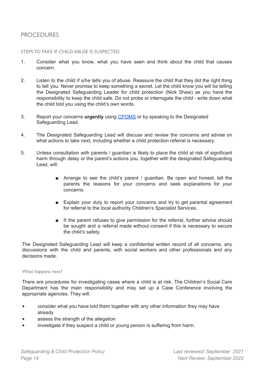# <span id="page-13-0"></span>PROCEDURES

#### <span id="page-13-1"></span>STEPS TO TAKE IF CHILD ABUSE IS SUSPECTED

- 1. Consider what you know, what you have seen and think about the child that causes concern.
- 2. Listen to the child if s/he tells you of abuse. Reassure the child that they did the right thing to tell you. Never promise to keep something a secret. Let the child know you will be telling the Designated Safeguarding Leader for child protection (Nick Shaw) as you have the responsibility to keep the child safe. Do not probe or interrogate the child - write down what the child told you using the child's own words.
- 3. Report your concerns **urgently** using [CPOMS](https://heathsideprep.cpoms.net) or by speaking to the Designated Safeguarding Lead.
- 4. The Designated Safeguarding Lead will discuss and review the concerns and advise on what actions to take next, including whether a child protection referral is necessary.
- 5. Unless consultation with parents / guardian is likely to place the child at risk of significant harm through delay or the parent's actions you, together with the designated Safeguarding Lead, will:
	- Arrange to see the child's parent / guardian. Be open and honest, tell the parents the reasons for your concerns and seek explanations for your concerns.
	- Explain your duty to report your concerns and try to get parental agreement for referral to the local authority Children's Specialist Services.
	- If the parent refuses to give permission for the referral, further advice should be sought and a referral made without consent if this is necessary to secure the child's safety.

The Designated Safeguarding Lead will keep a confidential written record of all concerns, any discussions with the child and parents, with social workers and other professionals and any decisions made.

#### <span id="page-13-2"></span>What happens next?

There are procedures for investigating cases where a child is at risk. The Children's Social Care Department has the main responsibility and may set up a Case Conference involving the appropriate agencies. They will:

- consider what you have told them together with any other information they may have already
- assess the strength of the allegation
- investigate if they suspect a child or young person is suffering from harm.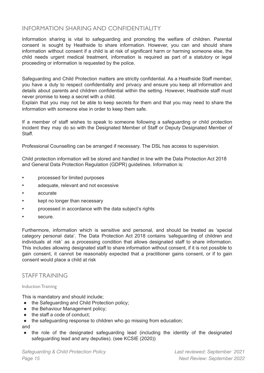# <span id="page-14-0"></span>INFORMATION SHARING AND CONFIDENTIALITY

Information sharing is vital to safeguarding and promoting the welfare of children. Parental consent is sought by Heathside to share information. However, you can and should share information without consent if a child is at risk of significant harm or harming someone else, the child needs urgent medical treatment, information is required as part of a statutory or legal proceeding or information is requested by the police.

Safeguarding and Child Protection matters are strictly confidential. As a Heathside Staff member, you have a duty to respect confidentiality and privacy and ensure you keep all information and details about parents and children confidential within the setting. However, Heathside staff must never promise to keep a secret with a child.

Explain that you may not be able to keep secrets for them and that you may need to share the information with someone else in order to keep them safe.

If a member of staff wishes to speak to someone following a safeguarding or child protection incident they may do so with the Designated Member of Staff or Deputy Designated Member of Staff.

Professional Counselling can be arranged if necessary. The DSL has access to supervision.

Child protection information will be stored and handled in line with the Data Protection Act 2018 and General Data Protection Regulation (GDPR) guidelines. Information is:

- processed for limited purposes
- adequate, relevant and not excessive
- accurate
- **•** kept no longer than necessary
- processed in accordance with the data subject's rights
- secure.

Furthermore, information which is sensitive and personal, and should be treated as 'special category personal data'. The Data Protection Act 2018 contains 'safeguarding of children and individuals at risk' as a processing condition that allows designated staff to share information. This includes allowing designated staff to share information without consent, if it is not possible to gain consent, it cannot be reasonably expected that a practitioner gains consent, or if to gain consent would place a child at risk

# <span id="page-14-1"></span>STAFF TRAINING

#### <span id="page-14-2"></span>Induction Training

This is mandatory and should include;

- the Safeguarding and Child Protection policy;
- the Behaviour Management policy;
- the staff a code of conduct;
- the safeguarding response to children who go missing from education;

and

• the role of the designated safeguarding lead (including the identity of the designated safeguarding lead and any deputies). (see KCSIE (2020))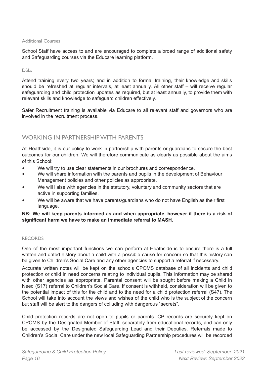#### <span id="page-15-0"></span>Additional Courses

School Staff have access to and are encouraged to complete a broad range of additional safety and Safeguarding courses via the Educare learning platform.

#### <span id="page-15-1"></span>DSLs

Attend training every two years; and in addition to formal training, their knowledge and skills should be refreshed at regular intervals, at least annually. All other staff – will receive regular safeguarding and child protection updates as required, but at least annually, to provide them with relevant skills and knowledge to safeguard children effectively.

Safer Recruitment training is available via Educare to all relevant staff and governors who are involved in the recruitment process.

# <span id="page-15-2"></span>WORKING IN PARTNERSHIP WITH PARENTS

At Heathside, it is our policy to work in partnership with parents or guardians to secure the best outcomes for our children. We will therefore communicate as clearly as possible about the aims of this School:

- We will try to use clear statements in our brochures and correspondence.
- We will share information with the parents and pupils in the development of Behaviour Management policies and other policies as appropriate.
- We will liaise with agencies in the statutory, voluntary and community sectors that are active in supporting families.
- We will be aware that we have parents/guardians who do not have English as their first language.

## <span id="page-15-3"></span>**NB: We will keep parents informed as and when appropriate, however if there is a risk of significant harm we have to make an immediate referral to MASH.**

#### RECORDS

One of the most important functions we can perform at Heathside is to ensure there is a full written and dated history about a child with a possible cause for concern so that this history can be given to Children's Social Care and any other agencies to support a referral if necessary.

Accurate written notes will be kept on the schools CPOMS database of all incidents and child protection or child in need concerns relating to individual pupils. This information may be shared with other agencies as appropriate. Parental consent will be sought before making a Child in Need (S17) referral to Children's Social Care. If consent is withheld, consideration will be given to the potential impact of this for the child and to the need for a child protection referral (S47). The School will take into account the views and wishes of the child who is the subject of the concern but staff will be alert to the dangers of colluding with dangerous "secrets".

Child protection records are not open to pupils or parents. CP records are securely kept on CPOMS by the Designated Member of Staff, separately from educational records, and can only be accessed by the Designated Safeguarding Lead and their Deputies. Referrals made to Children's Social Care under the new local Safeguarding Partnership procedures will be recorded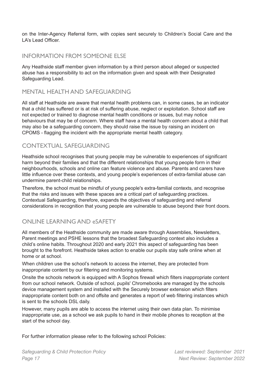on the Inter-Agency Referral form, with copies sent securely to Children's Social Care and the LA's Lead Officer.

# <span id="page-16-0"></span>INFORMATION FROM SOMEONE ELSE

Any Heathside staff member given information by a third person about alleged or suspected abuse has a responsibility to act on the information given and speak with their Designated Safeguarding Lead.

# <span id="page-16-1"></span>MENTAL HEALTH AND SAFEGUARDING

All staff at Heathside are aware that mental health problems can, in some cases, be an indicator that a child has suffered or is at risk of suffering abuse, neglect or exploitation. School staff are not expected or trained to diagnose mental health conditions or issues, but may notice behaviours that may be of concern. Where staff have a mental health concern about a child that may also be a safeguarding concern, they should raise the issue by raising an incident on CPOMS - flagging the incident with the appropriate mental health category.

# <span id="page-16-2"></span>CONTEXTUAL SAFEGUARDING

Heathside school recognises that young people may be vulnerable to experiences of significant harm beyond their families and that the different relationships that young people form in their neighbourhoods, schools and online can feature violence and abuse. Parents and carers have little influence over these contexts, and young people's experiences of extra-familial abuse can undermine parent-child relationships.

Therefore, the school must be mindful of young people's extra-familial contexts, and recognise that the risks and issues with these spaces are a critical part of safeguarding practices. Contextual Safeguarding, therefore, expands the objectives of safeguarding and referral considerations in recognition that young people are vulnerable to abuse beyond their front doors.

# <span id="page-16-3"></span>ONLINE LEARNING AND eSAFETY

All members of the Heathside community are made aware through Assemblies, Newsletters, Parent meetings and PSHE lessons that the broadest Safeguarding context also includes a child's online habits. Throughout 2020 and early 2021 this aspect of safeguarding has been brought to the forefront. Heathside takes action to enable our pupils stay safe online when at home or at school.

When children use the school's network to access the internet, they are protected from inappropriate content by our filtering and monitoring systems.

Onsite the schools network is equipped with A Sophos firewall which filters inappropriate content from our school network. Outside of school, pupils' Chromebooks are managed by the schools device management system and installed with the Securely browser extension which filters inappropriate content both on and offsite and generates a report of web filtering instances which is sent to the schools DSL daily.

However, many pupils are able to access the internet using their own data plan. To minimise inappropriate use, as a school we ask pupils to hand in their mobile phones to reception at the start of the school day.

For further information please refer to the following school Policies: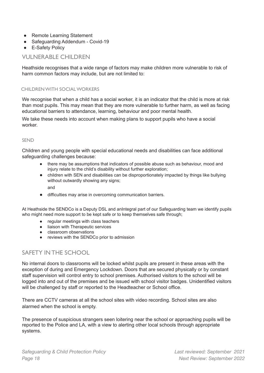- Remote Learning Statement
- Safeguarding Addendum Covid-19
- E-Safety Policy

# <span id="page-17-0"></span>VULNERABLE CHILDREN

Heathside recognises that a wide range of factors may make children more vulnerable to risk of harm common factors may include, but are not limited to:

# <span id="page-17-1"></span>CHILDRENWITH SOCIALWORKERS

We recognise that when a child has a social worker, it is an indicator that the child is more at risk than most pupils. This may mean that they are more vulnerable to further harm, as well as facing educational barriers to attendance, learning, behaviour and poor mental health.

We take these needs into account when making plans to support pupils who have a social worker.

#### <span id="page-17-2"></span>SEND

Children and young people with special educational needs and disabilities can face additional safeguarding challenges because:

- there may be assumptions that indicators of possible abuse such as behaviour, mood and injury relate to the child's disability without further exploration:
- children with SEN and disabilities can be disproportionately impacted by things like bullying without outwardly showing any signs; and
- difficulties may arise in overcoming communication barriers.

At Heathside the SENDCo is a Deputy DSL and anIntegral part of our Safeguarding team we identify pupils who might need more support to be kept safe or to keep themselves safe through;

- regular meetings with class teachers
- liaison with Therapeutic services
- **classroom** observations
- reviews with the SENDCo prior to admission

# <span id="page-17-3"></span>SAFETY INTHE SCHOOL

No internal doors to classrooms will be locked whilst pupils are present in these areas with the exception of during and Emergency Lockdown. Doors that are secured physically or by constant staff supervision will control entry to school premises. Authorised visitors to the school will be logged into and out of the premises and be issued with school visitor badges. Unidentified visitors will be challenged by staff or reported to the Headteacher or School office.

There are CCTV cameras at all the school sites with video recording. School sites are also alarmed when the school is empty.

The presence of suspicious strangers seen loitering near the school or approaching pupils will be reported to the Police and LA, with a view to alerting other local schools through appropriate systems.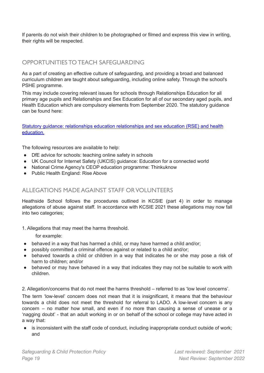If parents do not wish their children to be photographed or filmed and express this view in writing, their rights will be respected.

# <span id="page-18-0"></span>OPPORTUNITIES TO TEACH SAFEGUARDING

As a part of creating an effective culture of safeguarding, and providing a broad and balanced curriculum children are taught about safeguarding, including online safety. Through the school's PSHE programme.

This may include covering relevant issues for schools through Relationships Education for all primary age pupils and Relationships and Sex Education for all of our secondary aged pupils, and Health Education which are compulsory elements from September 2020. The statutory guidance can be found here:

Statutory guidance: relationships education [relationships](https://www.gov.uk/government/publications/relationships-education-relationships-and-sex-education-rse-and-health-education) and sex education (RSE) and health [education.](https://www.gov.uk/government/publications/relationships-education-relationships-and-sex-education-rse-and-health-education)

The following resources are available to help:

- DfE advice for schools: teaching online safety in schools
- UK Council for Internet Safety (UKCIS) guidance: Education for a connected world
- National Crime Agency's CEOP education programme: Thinkuknow
- Public Health England: Rise Above

# <span id="page-18-1"></span>ALLEGATIONS MADE AGAINST STAFF ORVOLUNTEERS

Heathside School follows the procedures outlined in KCSIE (part 4) in order to manage allegations of abuse against staff. In accordance with KCSIE 2021 these allegations may now fall into two categories;

1. Allegations that may meet the harms threshold.

for example:

- behaved in a way that has harmed a child, or may have harmed a child and/or;
- possibly committed a criminal offence against or related to a child and/or;
- behaved towards a child or children in a way that indicates he or she may pose a risk of harm to children; and/or
- behaved or may have behaved in a way that indicates they may not be suitable to work with children.
- 2. Allegation/concerns that do not meet the harms threshold referred to as 'low level concerns'.

The term 'low-level' concern does not mean that it is insignificant, it means that the behaviour towards a child does not meet the threshold for referral to LADO. A low-level concern is any concern – no matter how small, and even if no more than causing a sense of unease or a 'nagging doubt' - that an adult working in or on behalf of the school or college may have acted in a way that:

is inconsistent with the staff code of conduct, including inappropriate conduct outside of work; and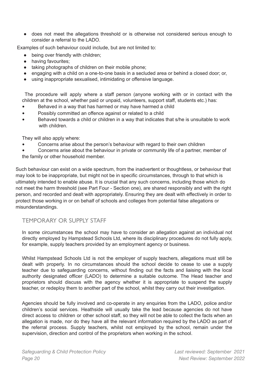● does not meet the allegations threshold or is otherwise not considered serious enough to consider a referral to the LADO.

Examples of such behaviour could include, but are not limited to:

- being over friendly with children;
- having favourites:
- taking photographs of children on their mobile phone;
- engaging with a child on a one-to-one basis in a secluded area or behind a closed door; or,
- using inappropriate sexualised, intimidating or offensive language.

The procedure will apply where a staff person (anyone working with or in contact with the children at the school, whether paid or unpaid, volunteers, support staff, students etc.) has:

- Behaved in a way that has harmed or may have harmed a child
- Possibly committed an offence against or related to a child
- Behaved towards a child or children in a way that indicates that s/he is unsuitable to work with children.

They will also apply where:

• Concerns arise about the person's behaviour with regard to their own children

• Concerns arise about the behaviour in private or community life of a partner, member of the family or other household member.

Such behaviour can exist on a wide spectrum, from the inadvertent or thoughtless, or behaviour that may look to be inappropriate, but might not be in specific circumstances, through to that which is ultimately intended to enable abuse. It is crucial that any such concerns, including those which do not meet the harm threshold (see Part Four - Section one), are shared responsibly and with the right person, and recorded and dealt with appropriately. Ensuring they are dealt with effectively in order to protect those working in or on behalf of schools and colleges from potential false allegations or misunderstandings.

# <span id="page-19-0"></span>TEMPORARY OR SUPPLY STAFF

In some circumstances the school may have to consider an allegation against an individual not directly employed by Hampstead Schools Ltd, where its disciplinary procedures do not fully apply, for example, supply teachers provided by an employment agency or business.

Whilst Hampstead Schools Ltd is not the employer of supply teachers, allegations must still be dealt with properly. In no circumstances should the school decide to cease to use a supply teacher due to safeguarding concerns, without finding out the facts and liaising with the local authority designated officer (LADO) to determine a suitable outcome. The Head teacher and proprietors should discuss with the agency whether it is appropriate to suspend the supply teacher, or redeploy them to another part of the school, whilst they carry out their investigation.

Agencies should be fully involved and co-operate in any enquiries from the LADO, police and/or children's social services. Heathside will usually take the lead because agencies do not have direct access to children or other school staff, so they will not be able to collect the facts when an allegation is made, nor do they have all the relevant information required by the LADO as part of the referral process. Supply teachers, whilst not employed by the school, remain under the supervision, direction and control of the proprietors when working in the school.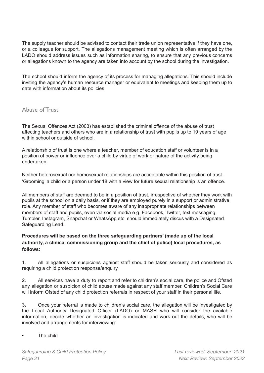The supply teacher should be advised to contact their trade union representative if they have one, or a colleague for support. The allegations management meeting which is often arranged by the LADO should address issues such as information sharing, to ensure that any previous concerns or allegations known to the agency are taken into account by the school during the investigation.

The school should inform the agency of its process for managing allegations. This should include inviting the agency's human resource manager or equivalent to meetings and keeping them up to date with information about its policies.

# <span id="page-20-0"></span>Abuse of Trust

The Sexual Offences Act (2003) has established the criminal offence of the abuse of trust affecting teachers and others who are in a relationship of trust with pupils up to 19 years of age within school or outside of school.

A relationship of trust is one where a teacher, member of education staff or volunteer is in a position of power or influence over a child by virtue of work or nature of the activity being undertaken.

Neither heterosexual nor homosexual relationships are acceptable within this position of trust. 'Grooming' a child or a person under 18 with a view for future sexual relationship is an offence.

All members of staff are deemed to be in a position of trust, irrespective of whether they work with pupils at the school on a daily basis, or if they are employed purely in a support or administrative role. Any member of staff who becomes aware of any inappropriate relationships between members of staff and pupils, even via social media e.g. Facebook, Twitter, text messaging, Tumbler, Instagram, Snapchat or WhatsApp etc. should immediately discus with a Designated Safeguarding Lead.

# **Procedures will be based on the three safeguarding partners' (made up of the local authority, a clinical commissioning group and the chief of police) local procedures, as follows:**

1. All allegations or suspicions against staff should be taken seriously and considered as requiring a child protection response/enquiry.

2. All services have a duty to report and refer to children's social care, the police and Ofsted any allegation or suspicion of child abuse made against any staff member. Children's Social Care will inform Ofsted of any child protection referrals in respect of your staff in their personal life.

3. Once your referral is made to children's social care, the allegation will be investigated by the Local Authority Designated Officer (LADO) or MASH who will consider the available information, decide whether an investigation is indicated and work out the details, who will be involved and arrangements for interviewing:

# The child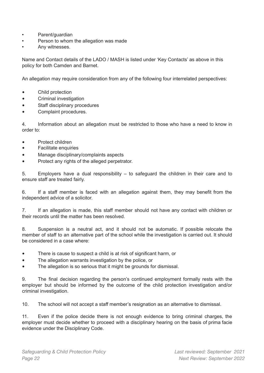- Parent/guardian
- Person to whom the allegation was made
- Any witnesses.

Name and Contact details of the LADO / MASH is listed under 'Key Contacts' as above in this policy for both Camden and Barnet.

An allegation may require consideration from any of the following four interrelated perspectives:

- Child protection
- Criminal investigation
- Staff disciplinary procedures
- Complaint procedures.

4. Information about an allegation must be restricted to those who have a need to know in order to:

- Protect children
- Facilitate enquiries
- Manage disciplinary/complaints aspects
- Protect any rights of the alleged perpetrator.

5. Employers have a dual responsibility – to safeguard the children in their care and to ensure staff are treated fairly.

6. If a staff member is faced with an allegation against them, they may benefit from the independent advice of a solicitor.

7. If an allegation is made, this staff member should not have any contact with children or their records until the matter has been resolved.

8. Suspension is a neutral act, and it should not be automatic. If possible relocate the member of staff to an alternative part of the school while the investigation is carried out. It should be considered in a case where:

- There is cause to suspect a child is at risk of significant harm, or
- The allegation warrants investigation by the police, or
- The allegation is so serious that it might be grounds for dismissal.

9. The final decision regarding the person's continued employment formally rests with the employer but should be informed by the outcome of the child protection investigation and/or criminal investigation.

10. The school will not accept a staff member's resignation as an alternative to dismissal.

11. Even if the police decide there is not enough evidence to bring criminal charges, the employer must decide whether to proceed with a disciplinary hearing on the basis of prima facie evidence under the Disciplinary Code.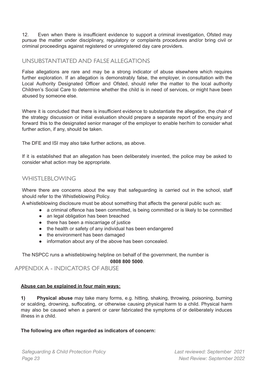12. Even when there is insufficient evidence to support a criminal investigation, Ofsted may pursue the matter under disciplinary, regulatory or complaints procedures and/or bring civil or criminal proceedings against registered or unregistered day care providers.

# <span id="page-22-0"></span>UNSUBSTANTIATED AND FALSE ALLEGATIONS

False allegations are rare and may be a strong indicator of abuse elsewhere which requires further exploration. If an allegation is demonstrably false, the employer, in consultation with the Local Authority Designated Officer and Ofsted, should refer the matter to the local authority Children's Social Care to determine whether the child is in need of services, or might have been abused by someone else.

Where it is concluded that there is insufficient evidence to substantiate the allegation, the chair of the strategy discussion or initial evaluation should prepare a separate report of the enquiry and forward this to the designated senior manager of the employer to enable her/him to consider what further action, if any, should be taken.

The DFE and ISI may also take further actions, as above.

If it is established that an allegation has been deliberately invented, the police may be asked to consider what action may be appropriate.

# <span id="page-22-1"></span>WHISTLEBLOWING

Where there are concerns about the way that safeguarding is carried out in the school, staff should refer to the Whistleblowing Policy.

A whistleblowing disclosure must be about something that affects the general public such as:

- a criminal offence has been committed, is being committed or is likely to be committed
- an legal obligation has been breached
- there has been a miscarriage of justice
- the health or safety of any individual has been endangered
- the environment has been damaged
- information about any of the above has been concealed.

The NSPCC runs a whistleblowing helpline on behalf of the government, the number is **0808 800 5000**.

# <span id="page-22-2"></span>APPENDIX A - INDICATORS OF ABUSE

# **Abuse can be explained in four main ways:**

**1) Physical abuse** may take many forms, e.g. hitting, shaking, throwing, poisoning, burning or scalding, drowning, suffocating, or otherwise causing physical harm to a child. Physical harm may also be caused when a parent or carer fabricated the symptoms of or deliberately induces illness in a child.

# <span id="page-22-3"></span>**The following are often regarded as indicators of concern:**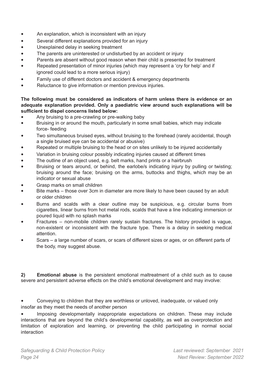- An explanation, which is inconsistent with an injury
- Several different explanations provided for an injury
- Unexplained delay in seeking treatment
- The parents are uninterested or undisturbed by an accident or injury
- Parents are absent without good reason when their child is presented for treatment
- Repeated presentation of minor injuries (which may represent a 'cry for help' and if ignored could lead to a more serious injury)
- Family use of different doctors and accident & emergency departments
- Reluctance to give information or mention previous injuries.

# **The following must be considered as indicators of harm unless there is evidence or an adequate explanation provided. Only a paediatric view around such explanations will be sufficient to dispel concerns listed below:**

- Any bruising to a pre-crawling or pre-walking baby
- Bruising in or around the mouth, particularly in some small babies, which may indicate force- feeding
- Two simultaneous bruised eyes, without bruising to the forehead (rarely accidental, though a single bruised eye can be accidental or abusive)
- Repeated or multiple bruising to the head or on sites unlikely to be injured accidentally
- Variation in bruising colour possibly indicating injuries caused at different times
- The outline of an object used, e.g. belt marks, hand prints or a hairbrush
- Bruising or tears around, or behind, the earlobe/s indicating injury by pulling or twisting; bruising around the face; bruising on the arms, buttocks and thighs, which may be an indicator or sexual abuse
- Grasp marks on small children
- Bite marks those over 3cm in diameter are more likely to have been caused by an adult or older children
- Burns and scalds with a clear outline may be suspicious, e.g. circular burns from cigarettes, linear burns from hot metal rods, scalds that have a line indicating immersion or poured liquid with no splash marks
- Fractures non-mobile children rarely sustain fractures. The history provided is vague, non-existent or inconsistent with the fracture type. There is a delay in seeking medical attention.
- Scars a large number of scars, or scars of different sizes or ages, or on different parts of the body, may suggest abuse.

**2) Emotional abuse** is the persistent emotional maltreatment of a child such as to cause severe and persistent adverse effects on the child's emotional development and may involve:

• Conveying to children that they are worthless or unloved, inadequate, or valued only insofar as they meet the needs of another person

• Imposing developmentally inappropriate expectations on children. These may include interactions that are beyond the child's developmental capability, as well as overprotection and limitation of exploration and learning, or preventing the child participating in normal social interaction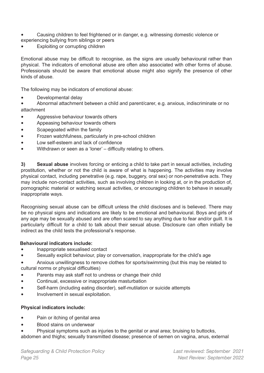- Causing children to feel frightened or in danger, e.g. witnessing domestic violence or experiencing bullying from siblings or peers
- Exploiting or corrupting children

Emotional abuse may be difficult to recognise, as the signs are usually behavioural rather than physical. The indicators of emotional abuse are often also associated with other forms of abuse. Professionals should be aware that emotional abuse might also signify the presence of other kinds of abuse.

The following may be indicators of emotional abuse:

• Developmental delay

• Abnormal attachment between a child and parent/carer, e.g. anxious, indiscriminate or no attachment

- Aggressive behaviour towards others
- Appeasing behaviour towards others
- Scapegoated within the family
- Frozen watchfulness, particularly in pre-school children
- Low self-esteem and lack of confidence
- Withdrawn or seen as a 'loner' difficulty relating to others.

**3) Sexual abuse** involves forcing or enticing a child to take part in sexual activities, including prostitution, whether or not the child is aware of what is happening. The activities may involve physical contact, including penetrative (e.g. rape, buggery, oral sex) or non-penetrative acts. They may include non-contact activities, such as involving children in looking at, or in the production of, pornographic material or watching sexual activities, or encouraging children to behave in sexually inappropriate ways.

Recognising sexual abuse can be difficult unless the child discloses and is believed. There may be no physical signs and indications are likely to be emotional and behavioural. Boys and girls of any age may be sexually abused and are often scared to say anything due to fear and/or guilt. It is particularly difficult for a child to talk about their sexual abuse. Disclosure can often initially be indirect as the child tests the professional's response.

# **Behavioural indicators include:**

- Inappropriate sexualised contact
- Sexually explicit behaviour, play or conversation, inappropriate for the child's age

• Anxious unwillingness to remove clothes for sports/swimming (but this may be related to cultural norms or physical difficulties)

- Parents may ask staff not to undress or change their child
- Continual, excessive or inappropriate masturbation
- Self-harm (including eating disorder), self-mutilation or suicide attempts
- Involvement in sexual exploitation.

# <span id="page-24-0"></span>**Physical indicators include:**

- Pain or itching of genital area
- Blood stains on underwear
- Physical symptoms such as injuries to the genital or anal area; bruising to buttocks, abdomen and thighs; sexually transmitted disease; presence of semen on vagina, anus, external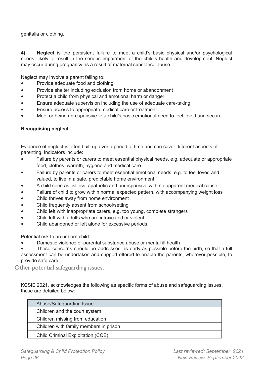genitalia or clothing.

**4) Neglect** is the persistent failure to meet a child's basic physical and/or psychological needs, likely to result in the serious impairment of the child's health and development. Neglect may occur during pregnancy as a result of maternal substance abuse.

Neglect may involve a parent failing to:

- Provide adequate food and clothing
- Provide shelter including exclusion from home or abandonment
- Protect a child from physical and emotional harm or danger
- Ensure adequate supervision including the use of adequate care-taking
- Ensure access to appropriate medical care or treatment
- Meet or being unresponsive to a child's basic emotional need to feel loved and secure.

#### <span id="page-25-0"></span>**Recognising neglect**

Evidence of neglect is often built up over a period of time and can cover different aspects of parenting. Indicators include:

- Failure by parents or carers to meet essential physical needs, e.g. adequate or appropriate food, clothes, warmth, hygiene and medical care
- Failure by parents or carers to meet essential emotional needs, e.g. to feel loved and valued, to live in a safe, predictable home environment
- A child seen as listless, apathetic and unresponsive with no apparent medical cause
- Failure of child to grow within normal expected pattern, with accompanying weight loss
- Child thrives away from home environment
- Child frequently absent from school/setting
- Child left with inappropriate carers, e.g. too young, complete strangers
- Child left with adults who are intoxicated or violent
- Child abandoned or left alone for excessive periods.

Potential risk to an unborn child:

• Domestic violence or parental substance abuse or mental ill health

• These concerns should be addressed as early as possible before the birth, so that a full assessment can be undertaken and support offered to enable the parents, wherever possible, to provide safe care.

Other potential safeguarding issues.

KCSIE 2021, acknowledges the following as specific forms of abuse and safeguarding issues, these are detailed below:

| Abuse/Safeguarding Issue               |  |
|----------------------------------------|--|
| Children and the court system          |  |
| Children missing from education        |  |
| Children with family members in prison |  |
| Child Criminal Exploitation (CCE)      |  |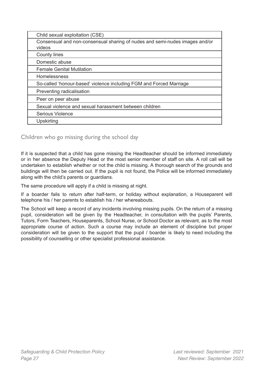| Child sexual exploitation (CSE)                                                       |
|---------------------------------------------------------------------------------------|
| Consensual and non-consensual sharing of nudes and semi-nudes images and/or<br>videos |
| <b>County lines</b>                                                                   |
| Domestic abuse                                                                        |
| <b>Female Genital Mutilation</b>                                                      |
| <b>Homelessness</b>                                                                   |
| So-called 'honour-based' violence including FGM and Forced Marriage                   |
| Preventing radicalisation                                                             |
| Peer on peer abuse                                                                    |
| Sexual violence and sexual harassment between children                                |
| Serious Violence                                                                      |
| Upskirting                                                                            |

# <span id="page-26-0"></span>Children who go missing during the school day

If it is suspected that a child has gone missing the Headteacher should be informed immediately or in her absence the Deputy Head or the most senior member of staff on site. A roll call will be undertaken to establish whether or not the child is missing. A thorough search of the grounds and buildings will then be carried out. If the pupil is not found, the Police will be informed immediately along with the child's parents or guardians.

The same procedure will apply if a child is missing at night.

If a boarder fails to return after half-term, or holiday without explanation, a Houseparent will telephone his / her parents to establish his / her whereabouts.

The School will keep a record of any incidents involving missing pupils. On the return of a missing pupil, consideration will be given by the Headteacher, in consultation with the pupils' Parents, Tutors, Form Teachers, Houseparents, School Nurse, or School Doctor as relevant, as to the most appropriate course of action. Such a course may include an element of discipline but proper consideration will be given to the support that the pupil / boarder is likely to need including the possibility of counselling or other specialist professional assistance.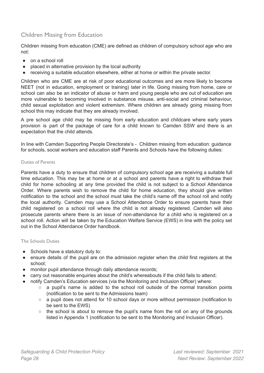# <span id="page-27-0"></span>Children Missing from Education

Children missing from education (CME) are defined as children of compulsory school age who are not:

- on a school roll
- placed in alternative provision by the local authority
- receiving a suitable education elsewhere, either at home or within the private sector.

Children who are CME are at risk of poor educational outcomes and are more likely to become NEET (not in education, employment or training) later in life. Going missing from home, care or school can also be an indicator of abuse or harm and young people who are out of education are more vulnerable to becoming involved in substance misuse, anti-social and criminal behaviour, child sexual exploitation and violent extremism. Where children are already going missing from school this may indicate that they are already involved.

A pre school age child may be missing from early education and childcare where early years provision is part of the package of care for a child known to Camden SSW and there is an expectation that the child attends.

In line with Camden Supporting People Directorate's - Children missing from education: guidance for schools, social workers and education staff Parents and Schools have the following duties:

#### <span id="page-27-1"></span>Duties of Parents

Parents have a duty to ensure that children of compulsory school age are receiving a suitable full time education. This may be at home or at a school and parents have a right to withdraw their child for home schooling at any time provided the child is not subject to a School Attendance Order. Where parents wish to remove the child for home education, they should give written notification to the school and the school must take the child's name off the school roll and notify the local authority. Camden may use a School Attendance Order to ensure parents have their child registered on a school roll where the child is not already registered. Camden will also prosecute parents where there is an issue of non-attendance for a child who is registered on a school roll. Action will be taken by the Education Welfare Service (EWS) in line with the policy set out in the School Attendance Order handbook.

#### <span id="page-27-2"></span>The Schools Duties

- Schools have a statutory duty to:
- ensure details of the pupil are on the admission register when the child first registers at the school;
- monitor pupil attendance through daily attendance records;
- carry out reasonable enquiries about the child's whereabouts if the child fails to attend;
- notify Camden's Education services (via the Monitoring and Inclusion Officer) where:
	- a pupil's name is added to the school roll outside of the normal transition points (notification to be sent to the Admissions team)
	- a pupil does not attend for 10 school days or more without permission (notification to be sent to the EWS)
	- the school is about to remove the pupil's name from the roll on any of the grounds listed in Appendix 1 (notification to be sent to the Monitoring and Inclusion Officer).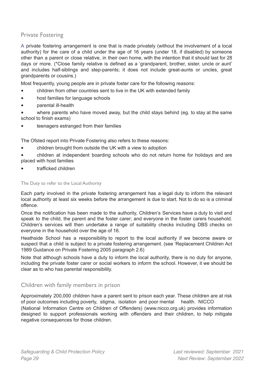# <span id="page-28-0"></span>Private Fostering

A private fostering arrangement is one that is made privately (without the involvement of a local authority) for the care of a child under the age of 16 years (under 18, if disabled) by someone other than a parent or close relative, in their own home, with the intention that it should last for 28 days or more. (\*Close family relative is defined as a 'grandparent, brother, sister, uncle or aunt' and includes half-siblings and step-parents; it does not include great-aunts or uncles, great grandparents or cousins.)

Most frequently, young people are in private foster care for the following reasons:

- children from other countries sent to live in the UK with extended family
- host families for language schools
- parental ill-health
- where parents who have moved away, but the child stays behind (eg. to stay at the same school to finish exams)
- teenagers estranged from their families

The Ofsted report into Private Fostering also refers to these reasons:

- children brought from outside the UK with a view to adoption
- children at independent boarding schools who do not return home for holidays and are placed with host families
- trafficked children

<span id="page-28-1"></span>The Duty to refer to the Local Authority

Each party involved in the private fostering arrangement has a legal duty to inform the relevant local authority at least six weeks before the arrangement is due to start. Not to do so is a criminal offence.

Once the notification has been made to the authority, Children's Services have a duty to visit and speak to the child, the parent and the foster carer; and everyone in the foster carers household. Children's services will then undertake a range of suitability checks including DBS checks on everyone in the household over the age of 16.

Heathside School has a responsibility to report to the local authority if we become aware or suspect that a child is subject to a private fostering arrangement. (see ['Replacement](http://media.education.gov.uk/assets/files/pdf/c/children%20act%201989%20%20%20guidance%20on%20private%20fostering.pdf) Children Act 1989 [Guidance](http://media.education.gov.uk/assets/files/pdf/c/children%20act%201989%20%20%20guidance%20on%20private%20fostering.pdf) on Private Fostering 2005 paragraph 2.6)

Note that although schools have a duty to inform the local authority, there is no duty for anyone, including the private foster carer or social workers to inform the school. However, it we should be clear as to who has parental responsibility.

# <span id="page-28-2"></span>Children with family members in prison

Approximately 200,000 children have a parent sent to prison each year. These children are at risk of poor outcomes including poverty, stigma, isolation and poor mental health. NICCO (National Information Centre on Children of Offenders) (www.nicco.org.uk) provides information designed to support professionals working with offenders and their children, to help mitigate negative consequences for those children.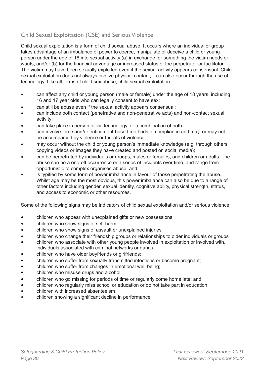# <span id="page-29-0"></span>Child Sexual Exploitation (CSE) and Serious Violence

Child sexual exploitation is a form of child sexual abuse. It occurs where an individual or group takes advantage of an imbalance of power to coerce, manipulate or deceive a child or young person under the age of 18 into sexual activity (a) in exchange for something the victim needs or wants, and/or (b) for the financial advantage or increased status of the perpetrator or facilitator. The victim may have been sexually exploited even if the sexual activity appears consensual. Child sexual exploitation does not always involve physical contact, it can also occur through the use of technology. Like all forms of child sex abuse, child sexual exploitation:

- can affect any child or young person (male or female) under the age of 18 years, including 16 and 17 year olds who can legally consent to have sex;
- can still be abuse even if the sexual activity appears consensual;
- can include both contact (penetrative and non-penetrative acts) and non-contact sexual activity;
- can take place in person or via technology, or a combination of both;
- can involve force and/or enticement-based methods of compliance and may, or may not, be accompanied by violence or threats of violence;
- may occur without the child or young person's immediate knowledge (e.g. through others copying videos or images they have created and posted on social media);
- can be perpetrated by individuals or groups, males or females, and children or adults. The abuse can be a one-off occurrence or a series of incidents over time, and range from opportunistic to complex organised abuse; and
- is typified by some form of power imbalance in favour of those perpetrating the abuse. Whilst age may be the most obvious, this power imbalance can also be due to a range of other factors including gender, sexual identity, cognitive ability, physical strength, status, and access to economic or other resources.

Some of the following signs may be indicators of child sexual exploitation and/or serious violence:

- children who appear with unexplained gifts or new possessions;
- children who show signs of self-harm
- children who show signs of assault or unexplained injuries
- children who change their friendship groups or relationships to older individuals or groups
- children who associate with other young people involved in exploitation or involved with, individuals associated with criminal networks or gangs;
- children who have older boyfriends or girlfriends;
- children who suffer from sexually transmitted infections or become pregnant;
- children who suffer from changes in emotional well-being;
- children who misuse drugs and alcohol;
- children who go missing for periods of time or regularly come home late; and
- children who regularly miss school or education or do not take part in education.
- children with increased absenteeism
- children showing a significant decline in performance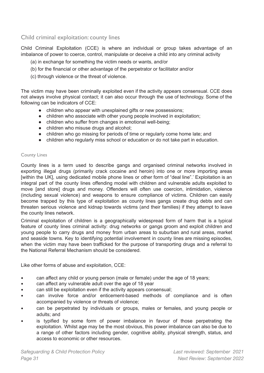# <span id="page-30-0"></span>Child criminal exploitation: county lines

Child Criminal Exploitation (CCE) is where an individual or group takes advantage of an imbalance of power to coerce, control, manipulate or deceive a child into any criminal activity

- (a) in exchange for something the victim needs or wants, and/or
- (b) for the financial or other advantage of the perpetrator or facilitator and/or
- (c) through violence or the threat of violence.

The victim may have been criminally exploited even if the activity appears consensual. CCE does not always involve physical contact; it can also occur through the use of technology. Some of the following can be indicators of CCE:

- children who appear with unexplained gifts or new possessions;
- children who associate with other young people involved in exploitation;
- children who suffer from changes in emotional well-being;
- children who misuse drugs and alcohol;
- children who go missing for periods of time or regularly come home late; and
- children who regularly miss school or education or do not take part in education.

#### <span id="page-30-1"></span>County Lines

County lines is a term used to describe gangs and organised criminal networks involved in exporting illegal drugs (primarily crack cocaine and heroin) into one or more importing areas [within the UK], using dedicated mobile phone lines or other form of "deal line".' Exploitation is an integral part of the county lines offending model with children and vulnerable adults exploited to move [and store] drugs and money. Offenders will often use coercion, intimidation, violence (including sexual violence) and weapons to ensure compliance of victims. Children can easily become trapped by this type of exploitation as county lines gangs create drug debts and can threaten serious violence and kidnap towards victims (and their families) if they attempt to leave the county lines network.

Criminal exploitation of children is a geographically widespread form of harm that is a typical feature of county lines criminal activity: drug networks or gangs groom and exploit children and young people to carry drugs and money from urban areas to suburban and rural areas, market and seaside towns. Key to identifying potential involvement in county lines are missing episodes, when the victim may have been trafficked for the purpose of transporting drugs and a referral to the National Referral Mechanism should be considered.

Like other forms of abuse and exploitation, CCE:

- can affect any child or young person (male or female) under the age of 18 years;
- can affect any vulnerable adult over the age of 18 year
- can still be exploitation even if the activity appears consensual;
- can involve force and/or enticement-based methods of compliance and is often accompanied by violence or threats of violence;
- can be perpetrated by individuals or groups, males or females, and young people or adults; and
- is typified by some form of power imbalance in favour of those perpetrating the exploitation. Whilst age may be the most obvious, this power imbalance can also be due to a range of other factors including gender, cognitive ability, physical strength, status, and access to economic or other resources.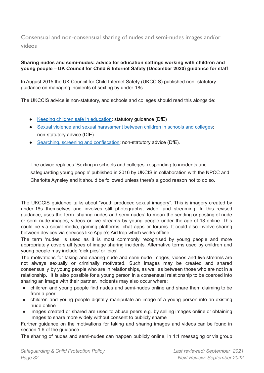<span id="page-31-0"></span>Consensual and non-consensual sharing of nudes and semi-nudes images and/or videos

# **Sharing nudes and semi-nudes: advice for education settings working with children and young people – UK Council for Child & Internet Safety (December 2020) guidance for staff**

In August 2015 the UK Council for Child Internet Safety (UKCCIS) published non- statutory guidance on managing incidents of sexting by under-18s.

The UKCCIS advice is non-statutory, and schools and colleges should read this alongside:

- Keeping children safe in [education](https://www.gov.uk/government/publications/keeping-children-safe-in-education--2): statutory guidance (DfE)
- Sexual violence and sexual [harassment](https://www.gov.uk/government/publications/sexual-violence-and-sexual-harassment-between-children-in-schools-and-colleges) between children in schools and colleges: non-statutory advice (DfE)
- Searching, screening and [confiscation:](https://www.gov.uk/government/publications/searching-screening-and-confiscation) non-statutory advice (DfE).

The advice replaces 'Sexting in schools and colleges: responding to incidents and safeguarding young people' published in 2016 by UKCIS in collaboration with the NPCC and Charlotte Aynsley and it should be followed unless there's a good reason not to do so.

The UKCCIS guidance talks about "youth produced sexual imagery". This is imagery created by under-18s themselves and involves still photographs, video, and streaming. In this revised guidance, uses the term 'sharing nudes and semi-nudes' to mean the sending or posting of nude or semi-nude images, videos or live streams by young people under the age of 18 online. This could be via social media, gaming platforms, chat apps or forums. It could also involve sharing between devices via services like Apple's AirDrop which works offline.

The term 'nudes' is used as it is most commonly recognised by young people and more appropriately covers all types of image sharing incidents. Alternative terms used by children and young people may include 'dick pics' or 'pics'.

The motivations for taking and sharing nude and semi-nude images, videos and live streams are not always sexually or criminally motivated. Such images may be created and shared consensually by young people who are in relationships, as well as between those who are not in a relationship. It is also possible for a young person in a consensual relationship to be coerced into sharing an image with their partner. Incidents may also occur where:

- children and young people find nudes and semi-nudes online and share them claiming to be from a peer
- children and young people digitally manipulate an image of a young person into an existing nude online
- images created or shared are used to abuse peers e.g. by selling images online or obtaining images to share more widely without consent to publicly shame

Further guidance on the motivations for taking and sharing images and videos can be found in [section](https://www.gov.uk/government/publications/sharing-nudes-and-semi-nudes-advice-for-education-settings-working-with-children-and-young-people/sharing-nudes-and-semi-nudes-advice-for-education-settings-working-with-children-and-young-people#sec1-6) 1.6 of the guidance.

The sharing of nudes and semi-nudes can happen publicly online, in 1:1 messaging or via group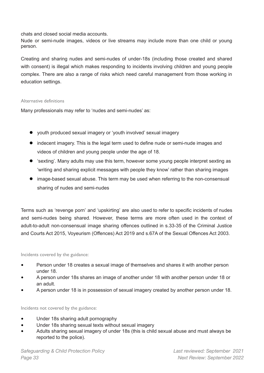chats and closed social media accounts.

Nude or semi-nude images, videos or live streams may include more than one child or young person.

Creating and sharing nudes and semi-nudes of under-18s (including those created and shared with consent) is illegal which makes responding to incidents involving children and young people complex. There are also a range of risks which need careful management from those working in education settings.

#### Alternative definitions

Many professionals may refer to 'nudes and semi-nudes' as:

- youth produced sexual imagery or 'youth involved' sexual imagery
- indecent imagery. This is the legal term used to define nude or semi-nude images and videos of children and young people under the age of 18.
- 'sexting'. Many adults may use this term, however some young people interpret sexting as 'writing and sharing explicit messages with people they know' rather than sharing images
- image-based sexual abuse. This term may be used when referring to the non-consensual sharing of nudes and semi-nudes

Terms such as 'revenge porn' and 'upskirting' are also used to refer to specific incidents of nudes and semi-nudes being shared. However, these terms are more often used in the context of adult-to-adult non-consensual image sharing offences outlined in s.33-35 of the Criminal Justice and Courts Act 2015, Voyeurism (Offences) Act 2019 and s.67A of the Sexual Offences Act 2003.

<span id="page-32-0"></span>Incidents covered by the guidance:

- Person under 18 creates a sexual image of themselves and shares it with another person under 18.
- A person under 18s shares an image of another under 18 with another person under 18 or an adult.
- A person under 18 is in possession of sexual imagery created by another person under 18.

<span id="page-32-1"></span>Incidents not covered by the guidance:

- Under 18s sharing adult pornography
- Under 18s sharing sexual texts without sexual imagery
- Adults sharing sexual imagery of under 18s (this is child sexual abuse and must always be reported to the police).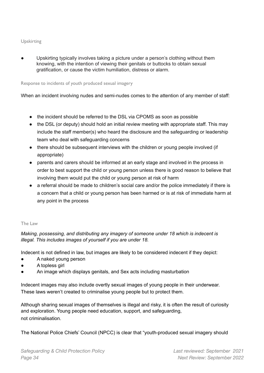# <span id="page-33-0"></span>Upskirting

Upskirting typically involves taking a picture under a person's clothing without them knowing, with the intention of viewing their genitals or buttocks to obtain sexual gratification, or cause the victim humiliation, distress or alarm.

## <span id="page-33-1"></span>Response to incidents of youth produced sexual imagery

When an incident involving nudes and semi-nudes comes to the attention of any member of staff:

- the incident should be referred to the DSL via CPOMS as soon as possible
- the DSL (or deputy) should hold an initial review meeting with appropriate staff. This may include the staff member(s) who heard the disclosure and the safeguarding or leadership team who deal with safeguarding concerns
- there should be subsequent interviews with the children or young people involved (if appropriate)
- parents and carers should be informed at an early stage and involved in the process in order to best support the child or young person unless there is good reason to believe that involving them would put the child or young person at risk of harm
- a referral should be made to children's social care and/or the police immediately if there is a concern that a child or young person has been harmed or is at risk of immediate harm at any point in the process

# <span id="page-33-2"></span>The Law

*Making, possessing, and distributing any imagery of someone under 18 which is indecent is illegal. This includes images of yourself if you are under 18.*

Indecent is not defined in law, but images are likely to be considered indecent if they depict:

- A naked young person
- A topless girl
- An image which displays genitals, and Sex acts including masturbation

Indecent images may also include overtly sexual images of young people in their underwear. These laws weren't created to criminalise young people but to protect them.

Although sharing sexual images of themselves is illegal and risky, it is often the result of curiosity and exploration. Young people need education, support, and safeguarding, not criminalisation.

The National Police Chiefs' Council (NPCC) is clear that "youth-produced sexual imagery should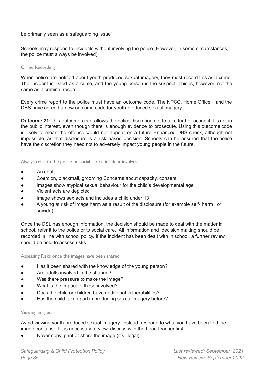be primarily seen as a safeguarding issue".

Schools may respond to incidents without involving the police (However, in some circumstances, the police must always be involved).

#### <span id="page-34-0"></span>Crime Recording

When police are notified about youth-produced sexual imagery, they must record this as a crime. The incident is listed as a crime, and the young person is the suspect. This is, however, not the same as a criminal record.

Every crime report to the police must have an outcome code. The NPCC, Home Office and the DBS have agreed a new outcome code for youth-produced sexual imagery.

**Outcome 21:** this outcome code allows the police discretion not to take further action if it is not in the public interest, even though there is enough evidence to prosecute. Using this outcome code is likely to mean the offence would not appear on a future Enhanced DBS check, although not impossible, as that disclosure is a risk based decision. Schools can be assured that the police have the discretion they need not to adversely impact young people in the future.

<span id="page-34-1"></span>Always refer to the police or social care if incident involves:

- An adult
- Coercion, blackmail, grooming Concerns about capacity, consent
- Images show atypical sexual behaviour for the child's developmental age
- Violent acts are depicted
- Image shows sex acts and includes a child under 13
- A young at risk of image harm as a result of the disclosure (for example self- harm or suicide)

Once the DSL has enough information, the decision should be made to deal with the matter in school, refer it to the police or to social care. All information and decision making should be recorded in line with school policy. If the incident has been dealt with in school, a further review should be held to assess risks.

<span id="page-34-2"></span>Assessing Risks once the images have been shared:

- Has it been shared with the knowledge of the young person?
- Are adults involved in the sharing?
- Was there pressure to make the image?
- What is the impact to those involved?
- Does the child or children have additional vulnerabilities?
- Has the child taken part in producing sexual imagery before?

#### <span id="page-34-3"></span>Viewing images:

Avoid viewing youth-produced sexual imagery. Instead, respond to what you have been told the image contains. If it is necessary to view, discuss with the head teacher first.

Never copy, print or share the image (it's illegal)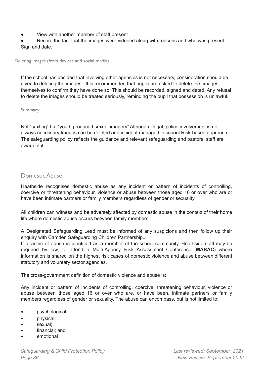View with another member of staff present

Record the fact that the images were videoed along with reasons and who was present. Sign and date.

<span id="page-35-0"></span>Deleting images (from devices and social media)

If the school has decided that involving other agencies is not necessary, consideration should be given to deleting the images. It is recommended that pupils are asked to delete the images themselves to confirm they have done so. This should be recorded, signed and dated. Any refusal to delete the images should be treated seriously, reminding the pupil that possession is unlawful.

<span id="page-35-1"></span>Summary:

Not "sexting" but "youth produced sexual imagery" Although illegal, police involvement is not always necessary Images can be deleted and incident managed in school Risk-based approach The safeguarding policy reflects the guidance and relevant safeguarding and pastoral staff are aware of it.

# Domestic Abuse

Heathside recognises domestic abuse as any incident or pattern of incidents of controlling, coercive or threatening behaviour, violence or abuse between those aged 16 or over who are or have been intimate partners or family members regardless of gender or sexuality.

All children can witness and be adversely affected by domestic abuse in the context of their home life where domestic abuse occurs between family members.

A Designated Safeguarding Lead must be informed of any suspicions and then follow up their enquiry with Camden Safeguarding Children Partnership..

If a victim of abuse is identified as a member of the school community, Heathside staff may be required by law, to attend a Multi-Agency Risk Assessment Conference (**MARAC**) where information is shared on the highest risk cases of domestic violence and abuse between different statutory and voluntary sector agencies.

The cross-government definition of domestic violence and abuse is:

Any incident or pattern of incidents of controlling, coercive, threatening behaviour, violence or abuse between those aged 16 or over who are, or have been, intimate partners or family members regardless of gender or sexuality. The abuse can encompass, but is not limited to:

- psychological;
- physical;
- sexual:
- financial: and
- emotional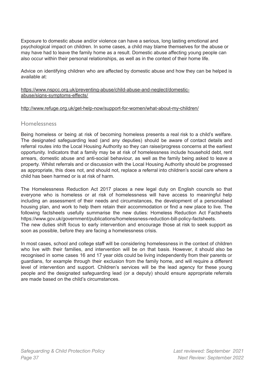Exposure to domestic abuse and/or violence can have a serious, long lasting emotional and psychological impact on children. In some cases, a child may blame themselves for the abuse or may have had to leave the family home as a result. Domestic abuse affecting young people can also occur within their personal relationships, as well as in the context of their home life.

Advice on identifying children who are affected by domestic abuse and how they can be helped is available at:

https:/[/www.nspcc.org.uk/preventing-abuse/child-abuse-and-neglect/domestic](http://www.nspcc.org.uk/preventing-abuse/child-abuse-and-neglect/domestic-)abuse/signs-symptoms-effects/

#### <http://www.refuge.org.uk/get-help-now/support-for-women/what-about-my-children/>

# <span id="page-36-0"></span>Homelessness

Being homeless or being at risk of becoming homeless presents a real risk to a child's welfare. The designated safeguarding lead (and any deputies) should be aware of contact details and referral routes into the Local Housing Authority so they can raise/progress concerns at the earliest opportunity. Indicators that a family may be at risk of homelessness include household debt, rent arrears, domestic abuse and anti-social behaviour, as well as the family being asked to leave a property. Whilst referrals and or discussion with the Local Housing Authority should be progressed as appropriate, this does not, and should not, replace a referral into children's social care where a child has been harmed or is at risk of harm.

The Homelessness Reduction Act 2017 places a new legal duty on English councils so that everyone who is homeless or at risk of homelessness will have access to meaningful help including an assessment of their needs and circumstances, the development of a personalised housing plan, and work to help them retain their accommodation or find a new place to live. The following factsheets usefully summarise the new duties: Homeless Reduction Act Factsheets https:/[/www.gov.uk/government/publications/homelessness-reduction-bill-policy-factsheets.](http://www.gov.uk/government/publications/homelessness-reduction-bill-policy-factsheets) The new duties shift focus to early intervention and encourage those at risk to seek support as soon as possible, before they are facing a homelessness crisis.

In most cases, school and college staff will be considering homelessness in the context of children who live with their families, and intervention will be on that basis. However, it should also be recognised in some cases 16 and 17 year olds could be living independently from their parents or guardians, for example through their exclusion from the family home, and will require a different level of intervention and support. Children's services will be the lead agency for these young people and the designated safeguarding lead (or a deputy) should ensure appropriate referrals are made based on the child's circumstances.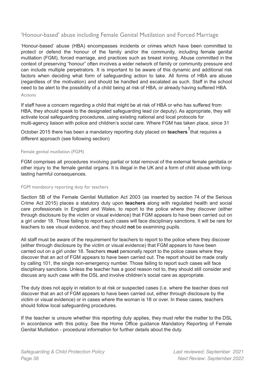# <span id="page-37-0"></span>'Honour-based' abuse including Female Genital Mutilation and Forced Marriage

'Honour-based' abuse (HBA) encompasses incidents or crimes which have been committed to protect or defend the honour of the family and/or the community, including female genital mutilation (FGM), forced marriage, and practices such as breast ironing. Abuse committed in the context of preserving "honour" often involves a wider network of family or community pressure and can include multiple perpetrators. It is important to be aware of this dynamic and additional risk factors when deciding what form of safeguarding action to take. All forms of HBA are abuse (regardless of the motivation) and should be handled and escalated as such. Staff in the school need to be alert to the possibility of a child being at risk of HBA, or already having suffered HBA.

#### <span id="page-37-1"></span>Actions

If staff have a concern regarding a child that might be at risk of HBA or who has suffered from HBA, they should speak to the designated safeguarding lead (or deputy). As appropriate, they will activate local safeguarding procedures, using existing national and local protocols for multi-agency liaison with police and children's social care. Where FGM has taken place, since 31

October 2015 there has been a mandatory reporting duty placed on teachers <sup>1</sup> that requires a different approach (see following section)

#### <span id="page-37-2"></span>Female genital mutilation (FGM)

FGM comprises all procedures involving partial or total removal of the external female genitalia or other injury to the female genital organs. It is illegal in the UK and a form of child abuse with longlasting harmful consequences.

#### <span id="page-37-3"></span>FGM mandatory reporting duty for teachers

Section 5B of the Female Genital Mutilation Act 2003 (as inserted by section 74 of the Serious Crime Act 2015) places a statutory duty upon **teachers** along with regulated health and social care professionals in England and Wales, to report to the police where they discover (either through disclosure by the victim or visual evidence) that FGM appears to have been carried out on a girl under 18. Those failing to report such cases will face disciplinary sanctions. It will be rare for teachers to see visual evidence, and they should **not** be examining pupils.

All staff must be aware of the requirement for teachers to report to the police where they discover (either through disclosure by the victim or visual evidence) that FGM appears to have been carried out on a girl under 18. Teachers **must** personally report to the police cases where they discover that an act of FGM appears to have been carried out. The report should be made orally by calling 101, the single non-emergency number. Those failing to report such cases will face disciplinary sanctions. Unless the teacher has a good reason not to, they should still consider and discuss any such case with the DSL and involve children's social care as appropriate.

The duty does not apply in relation to at risk or suspected cases (i.e. where the teacher does not discover that an act of FGM appears to have been carried out, either through disclosure by the victim or visual evidence) or in cases where the woman is 18 or over. In these cases, teachers should follow local safeguarding procedures.

If the teacher is unsure whether this reporting duty applies, they must refer the matter to the DSL in accordance with this policy. See the Home Office guidance Mandatory Reporting of Female Genital Mutilation - procedural information for further details about the duty.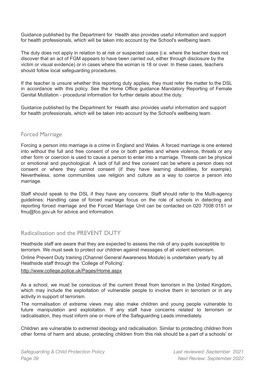Guidance published by the Department for Health also provides useful information and support for health professionals, which will be taken into account by the School's wellbeing team.

The duty does not apply in relation to at risk or suspected cases (i.e. where the teacher does not discover that an act of FGM appears to have been carried out, either through disclosure by the victim or visual evidence) or in cases where the woman is 18 or over. In these cases, teachers should follow local safeguarding procedures.

If the teacher is unsure whether this reporting duty applies, they must refer the matter to the DSL in accordance with this policy. See the Home Office guidance Mandatory Reporting of Female Genital Mutilation - procedural information for further details about the duty.

Guidance published by the Department for Health also provides useful information and support for health professionals, which will be taken into account by the School's wellbeing team.

# <span id="page-38-0"></span>Forced Marriage

Forcing a person into marriage is a crime in England and Wales. A forced marriage is one entered into without the full and free consent of one or both parties and where violence, threats or any other form or coercion is used to cause a person to enter into a marriage. Threats can be physical or emotional and psychological. A lack of full and free consent can be where a person does not consent or where they cannot consent (if they have learning disabilities, for example). Nevertheless, some communities use religion and culture as a way to coerce a person into marriage.

Staff should speak to the DSL if they have any concerns. Staff should refer to the Multi-agency guidelines: Handling case of forced marriage focus on the role of schools in detecting and reporting forced marriage and the Forced Marriage Unit can be contacted on 020 7008 0151 or [fmu@fco.gov.uk](mailto:fmu@fco.gov.uk) for advice and information.

# <span id="page-38-1"></span>Radicalisation and the PREVENT DUTY

Heathside staff are aware that they are expected to assess the risk of any pupils susceptible to terrorism. We must seek to protect our children against messages of all violent extremism.

Online Prevent Duty training (Channel General Awareness Module) is undertaken yearly by all Heathside staff through the 'College of Policing'.

## <http://www.college.police.uk/Pages/Home.aspx>

As a school, we must be conscious of the current threat from terrorism in the United Kingdom, which may include the exploitation of vulnerable people to involve them in terrorism or in any activity in support of terrorism.

The normalisation of extreme views may also make children and young people vulnerable to future manipulation and exploitation. If any staff have concerns related to terrorism or radicalisation, they must inform one or more of the Safeguarding Leads immediately.

Children are vulnerable to extremist ideology and radicalisation. Similar to protecting children from other forms of harm and abuse, protecting children from this risk should be a part of a schools' or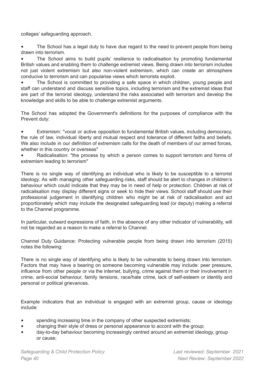colleges' safeguarding approach.

The School has a legal duty to have due regard to the need to prevent people from being drawn into terrorism.

• The School aims to build pupils' resilience to radicalisation by promoting fundamental British values and enabling them to challenge extremist views. Being drawn into terrorism includes not just violent extremism but also non-violent extremism, which can create an atmosphere conducive to terrorism and can popularise views which terrorists exploit.

• The School is committed to providing a safe space in which children, young people and staff can understand and discuss sensitive topics, including terrorism and the extremist ideas that are part of the terrorist ideology, understand the risks associated with terrorism and develop the knowledge and skills to be able to challenge extremist arguments.

The School has adopted the Government's definitions for the purposes of compliance with the Prevent duty:

• Extremism: "vocal or active opposition to fundamental British values, including democracy, the rule of law, individual liberty and mutual respect and tolerance of different faiths and beliefs. We also include in our definition of extremism calls for the death of members of our armed forces, whether in this country or overseas"

Radicalisation: "the process by which a person comes to support terrorism and forms of extremism leading to terrorism"

There is no single way of identifying an individual who is likely to be susceptible to a terrorist ideology. As with managing other safeguarding risks, staff should be alert to changes in children's behaviour which could indicate that they may be in need of help or protection. Children at risk of radicalisation may display different signs or seek to hide their views. School staff should use their professional judgement in identifying children who might be at risk of radicalisation and act proportionately which may include the designated safeguarding lead (or deputy) making a referral to the Channel programme.

In particular, outward expressions of faith, in the absence of any other indicator of vulnerability, will not be regarded as a reason to make a referral to Channel.

Channel Duty Guidance: Protecting vulnerable people from being drawn into terrorism (2015) notes the following:

There is no single way of identifying who is likely to be vulnerable to being drawn into terrorism. Factors that may have a bearing on someone becoming vulnerable may include: peer pressure, influence from other people or via the internet, bullying, crime against them or their involvement in crime, anti-social behaviour, family tensions, race/hate crime, lack of self-esteem or identity and personal or political grievances.

Example indicators that an individual is engaged with an extremist group, cause or ideology include:

- spending increasing time in the company of other suspected extremists;
- changing their style of dress or personal appearance to accord with the group;
- day-to-day behaviour becoming increasingly centred around an extremist ideology, group or cause;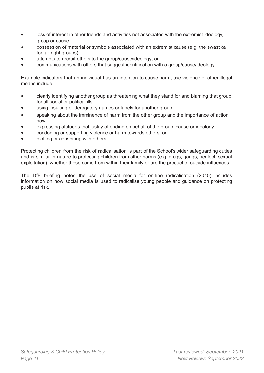- loss of interest in other friends and activities not associated with the extremist ideology, group or cause;
- possession of material or symbols associated with an extremist cause (e.g. the swastika for far-right groups):
- attempts to recruit others to the group/cause/ideology; or
- communications with others that suggest identification with a group/cause/ideology.

Example indicators that an individual has an intention to cause harm, use violence or other illegal means include:

- clearly identifying another group as threatening what they stand for and blaming that group for all social or political ills;
- using insulting or derogatory names or labels for another group;
- speaking about the imminence of harm from the other group and the importance of action now;
- expressing attitudes that justify offending on behalf of the group, cause or ideology;
- condoning or supporting violence or harm towards others; or
- plotting or conspiring with others.

Protecting children from the risk of radicalisation is part of the School's wider safeguarding duties and is similar in nature to protecting children from other harms (e.g. drugs, gangs, neglect, sexual exploitation), whether these come from within their family or are the product of outside influences.

The DfE briefing notes the use of social media for on-line radicalisation (2015) includes information on how social media is used to radicalise young people and guidance on protecting pupils at risk.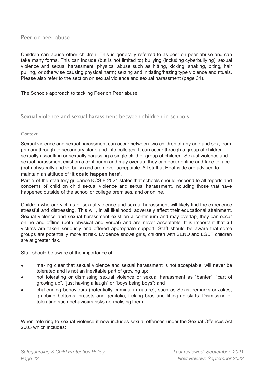<span id="page-41-0"></span>Peer on peer abuse

Children can abuse other children. This is generally referred to as peer on peer abuse and can take many forms. This can include (but is not limited to) bullying (including cyberbullying); sexual violence and sexual harassment; physical abuse such as hitting, kicking, shaking, biting, hair pulling, or otherwise causing physical harm; sexting and initiating/hazing type violence and rituals. Please also refer to the section on sexual violence and sexual harassment (page 31).

#### The Schools approach to tackling Peer on Peer abuse

# <span id="page-41-1"></span>Sexual violence and sexual harassment between children in schools

#### <span id="page-41-2"></span>Context

Sexual violence and sexual harassment can occur between two children of any age and sex, from primary through to secondary stage and into colleges. It can occur through a group of children sexually assaulting or sexually harassing a single child or group of children. Sexual violence and sexual harassment exist on a continuum and may overlap; they can occur online and face to face (both physically and verbally) and are never acceptable. All staff at Heathside are advised to maintain an attitude of **'it could happen here'**.

Part 5 of the statutory guidance KCSIE 2021 states that schools should respond to all reports and concerns of child on child sexual violence and sexual harassment, including those that have happened outside of the school or college premises, and or online.

Children who are victims of sexual violence and sexual harassment will likely find the experience stressful and distressing. This will, in all likelihood, adversely affect their educational attainment. Sexual violence and sexual harassment exist on a continuum and may overlap, they can occur online and offline (both physical and verbal) and are never acceptable. It is important that **all** victims are taken seriously and offered appropriate support. Staff should be aware that some groups are potentially more at risk. Evidence shows girls, children with SEND and LGBT children are at greater risk.

Staff should be aware of the importance of:

- making clear that sexual violence and sexual harassment is not acceptable, will never be tolerated and is not an inevitable part of growing up;
- not tolerating or dismissing sexual violence or sexual harassment as "banter", "part of growing up", "just having a laugh" or "boys being boys"; and
- challenging behaviours (potentially criminal in nature), such as Sexist remarks or Jokes, grabbing bottoms, breasts and genitalia, flicking bras and lifting up skirts. Dismissing or tolerating such behaviours risks normalising them.

When referring to sexual violence it now includes sexual offences under the Sexual Offences Act 2003 which includes: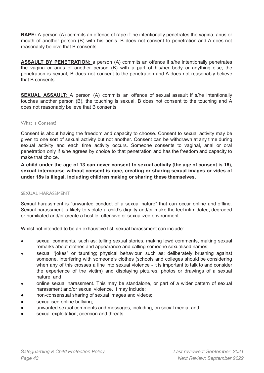**RAPE:** A person (A) commits an offence of rape if: he intentionally penetrates the vagina, anus or mouth of another person (B) with his penis. B does not consent to penetration and A does not reasonably believe that B consents.

**ASSAULT BY PENETRATION:** a person (A) commits an offence if s/he intentionally penetrates the vagina or anus of another person (B) with a part of his/her body or anything else, the penetration is sexual, B does not consent to the penetration and A does not reasonably believe that B consents.

**SEXUAL ASSAULT:** A person (A) commits an offence of sexual assault if s/he intentionally touches another person (B), the touching is sexual, B does not consent to the touching and A does not reasonably believe that B consents.

#### <span id="page-42-0"></span>What Is Consent?

Consent is about having the freedom and capacity to choose. Consent to sexual activity may be given to one sort of sexual activity but not another. Consent can be withdrawn at any time during sexual activity and each time activity occurs. Someone consents to vaginal, anal or oral penetration only if s/he agrees by choice to that penetration and has the freedom and capacity to make that choice.

A child under the age of 13 can never consent to sexual activity (the age of consent is 16), **sexual intercourse without consent is rape, creating or sharing sexual images or vides of under 18s is illegal, including children making or sharing these themselves.**

#### <span id="page-42-1"></span>SEXUAL HARASSMENT

Sexual harassment is "unwanted conduct of a sexual nature" that can occur online and offline. Sexual harassment is likely to violate a child's dignity and/or make the feel intimidated, degraded or humiliated and/or create a hostile, offensive or sexualized environment.

Whilst not intended to be an exhaustive list, sexual harassment can include:

- sexual comments, such as: telling sexual stories, making lewd comments, making sexual remarks about clothes and appearance and calling someone sexualised names;
- sexual "jokes" or taunting; physical behaviour, such as: deliberately brushing against someone, interfering with someone's clothes (schools and colleges should be considering when any of this crosses a line into sexual violence - it is important to talk to and consider the experience of the victim) and displaying pictures, photos or drawings of a sexual nature; and
- online sexual harassment. This may be standalone, or part of a wider pattern of sexual harassment and/or sexual violence. It may include:
- non-consensual sharing of sexual images and videos;
- sexualised online bullying;
- unwanted sexual comments and messages, including, on social media; and
- <span id="page-42-2"></span>sexual exploitation; coercion and threats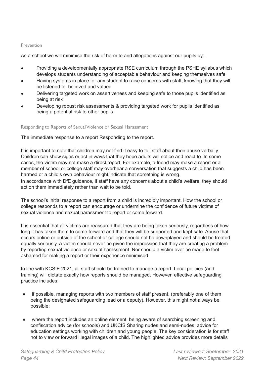#### Prevention

As a school we will minimise the risk of harm to and allegations against our pupils by:-

- Providing a developmentally appropriate RSE curriculum through the PSHE syllabus which develops students understanding of acceptable behaviour and keeping themselves safe
- Having systems in place for any student to raise concerns with staff, knowing that they will be listened to, believed and valued
- Delivering targeted work on assertiveness and keeping safe to those pupils identified as being at risk
- Developing robust risk assessments & providing targeted work for pupils identified as being a potential risk to other pupils.

#### <span id="page-43-0"></span>Responding to Reports of Sexual Violence or Sexual Harassment

The immediate response to a report Responding to the report.

It is important to note that children may not find it easy to tell staff about their abuse verbally. Children can show signs or act in ways that they hope adults will notice and react to. In some cases, the victim may not make a direct report. For example, a friend may make a report or a member of school or college staff may overhear a conversation that suggests a child has been harmed or a child's own behaviour might indicate that something is wrong.

In accordance with DfE guidance, if staff have any concerns about a child's welfare, they should act on them immediately rather than wait to be told.

The school's initial response to a report from a child is incredibly important. How the school or college responds to a report can encourage or undermine the confidence of future victims of sexual violence and sexual harassment to report or come forward.

It is essential that all victims are reassured that they are being taken seriously, regardless of how long it has taken them to come forward and that they will be supported and kept safe. Abuse that occurs online or outside of the school or college should not be downplayed and should be treated equally seriously. A victim should never be given the impression that they are creating a problem by reporting sexual violence or sexual harassment. Nor should a victim ever be made to feel ashamed for making a report or their experience minimised.

In line with KCSIE 2021, all staff should be trained to manage a report. Local policies (and training) will dictate exactly how reports should be managed. However, effective safeguarding practice includes:

- if possible, managing reports with two members of staff present, (preferably one of them being the designated safeguarding lead or a deputy). However, this might not always be possible;
- where the report includes an online element, being aware of searching screening and confiscation advice (for schools) and UKCIS Sharing nudes and semi-nudes: advice for education settings working with children and young people. The key consideration is for staff not to view or forward illegal images of a child. The highlighted advice provides more details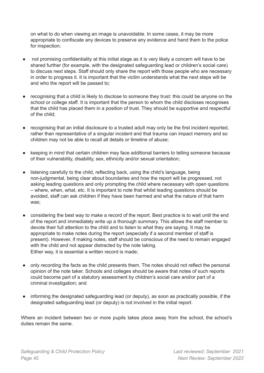on what to do when viewing an image is unavoidable. In some cases, it may be more appropriate to confiscate any devices to preserve any evidence and hand them to the police for inspection;

- not promising confidentiality at this initial stage as it is very likely a concern will have to be shared further (for example, with the designated safeguarding lead or children's social care) to discuss next steps. Staff should only share the report with those people who are necessary in order to progress it. It is important that the victim understands what the next steps will be and who the report will be passed to;
- recognising that a child is likely to disclose to someone they trust: this could be anyone on the school or college staff. It is important that the person to whom the child discloses recognises that the child has placed them in a position of trust. They should be supportive and respectful of the child;
- recognising that an initial disclosure to a trusted adult may only be the first incident reported, rather than representative of a singular incident and that trauma can impact memory and so children may not be able to recall all details or timeline of abuse;
- keeping in mind that certain children may face additional barriers to telling someone because of their vulnerability, disability, sex, ethnicity and/or sexual orientation;
- listening carefully to the child, reflecting back, using the child's language, being non-judgmental, being clear about boundaries and how the report will be progressed, not asking leading questions and only prompting the child where necessary with open questions – where, when, what, etc. It is important to note that whilst leading questions should be avoided, staff can ask children if they have been harmed and what the nature of that harm was;
- considering the best way to make a record of the report. Best practice is to wait until the end of the report and immediately write up a thorough summary. This allows the staff member to devote their full attention to the child and to listen to what they are saying. It may be appropriate to make notes during the report (especially if a second member of staff is present). However, if making notes, staff should be conscious of the need to remain engaged with the child and not appear distracted by the note taking. Either way, it is essential a written record is made;
- only recording the facts as the child presents them. The notes should not reflect the personal opinion of the note taker. Schools and colleges should be aware that notes of such reports could become part of a statutory assessment by children's social care and/or part of a criminal investigation; and
- informing the designated safeguarding lead (or deputy), as soon as practically possible, if the designated safeguarding lead (or deputy) is not involved in the initial report.

Where an incident between two or more pupils takes place away from the school, the school's duties remain the same.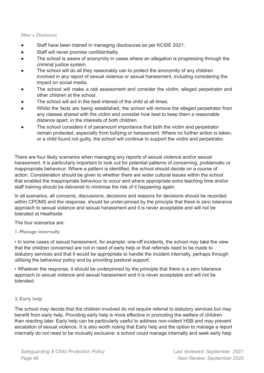#### <span id="page-45-0"></span>After a Disclosure

- Staff have been trained in managing disclosures as per KCSIE 2021.
- Staff will never promise confidentiality.
- The school is aware of anonymity in cases where an allegation is progressing through the criminal justice system.
- The school will do all they reasonably can to protect the anonymity of any children involved in any report of sexual violence or sexual harassment, including considering the impact on social media.
- The school will make a risk assessment and consider the victim, alleged perpetrator and other children at the school.
- The school will act in the best interest of the child at all times.
- Whilst the facts are being established, the school will remove the alleged perpetrator from any classes shared with the victim and consider how best to keep them a reasonable distance apart, in the interests of both children.
- The school considers it of paramount importance that both the victim and perpetrator remain protected, especially from bullying or harassment. Where no further action is taken, or a child found not guilty, the school will continue to support the victim and perpetrator.

There are four likely scenarios when managing any reports of sexual violence and/or sexual harassment. It is particularly important to look out for potential patterns of concerning, problematic or inappropriate behaviour. Where a pattern is identified, the school should decide on a course of action. Consideration should be given to whether there are wider cultural issues within the school that enabled the inappropriate behaviour to occur and where appropriate extra teaching time and/or staff training should be delivered to minimise the risk of it happening again.

In all scenarios, all concerns, discussions, decisions and reasons for decisions should be recorded within CPOMS and the response, should be under-pinned by the principle that there is zero tolerance approach to sexual violence and sexual harassment and it is never acceptable and will not be tolerated at Heathside.

The four scenarios are:

#### **1. Manage internally**

• In some cases of sexual harassment, for example, one-off incidents, the school may take the view that the children concerned are not in need of early help or that referrals need to be made to statutory services and that it would be appropriate to handle the incident internally, perhaps through utilising the behaviour policy and by providing pastoral support.

• Whatever the response, it should be underpinned by the principle that there is a zero tolerance approach to sexual violence and sexual harassment and it is never acceptable and will not be tolerated.

#### **2. Early help**

The school may decide that the children involved do not require referral to statutory services but may benefit from early help. Providing early help is more effective in promoting the welfare of children than reacting later. Early help can be particularly useful to address non-violent HSB and may prevent escalation of sexual violence. It is also worth noting that Early help and the option to manage a report internally do not need to be mutually exclusive: a school could manage internally and seek early help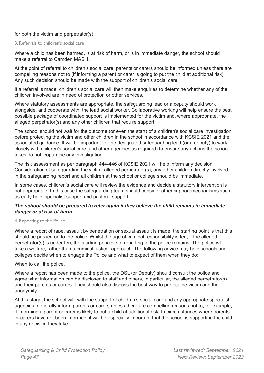## for both the victim and perpetrator(s).

#### 3. Referrals to children's social care

Where a child has been harmed, is at risk of harm, or is in immediate danger, the school should make a referral to Camden MASH .

At the point of referral to children's social care, parents or carers should be informed unless there are compelling reasons not to (if informing a parent or carer is going to put the child at additional risk). Any such decision should be made with the support of children's social care.

If a referral is made, children's social care will then make enquiries to determine whether any of the children involved are in need of protection or other services.

Where statutory assessments are appropriate, the safeguarding lead or a deputy should work alongside, and cooperate with, the lead social worker. Collaborative working will help ensure the best possible package of coordinated support is implemented for the victim and, where appropriate, the alleged perpetrator(s) and any other children that require support.

The school should not wait for the outcome (or even the start) of a children's social care investigation before protecting the victim and other children in the school in accordance with KCSIE 2021 and the associated guidance. It will be important for the designated safeguarding lead (or a deputy) to work closely with children's social care (and other agencies as required) to ensure any actions the school takes do not jeopardise any investigation.

The risk assessment as per paragraph 444-446 of KCSIE 2021 will help inform any decision. Consideration of safeguarding the victim, alleged perpetrator(s), any other children directly involved in the safeguarding report and all children at the school or college should be immediate.

In some cases, children's social care will review the evidence and decide a statutory intervention is not appropriate. In this case the safeguarding team should consider other support mechanisms such as early help, specialist support and pastoral support.

## *The school should be prepared to refer again if they believe the child remains in immediate danger or at risk of harm.*

#### 4. Reporting to the Police

Where a report of rape, assault by penetration or sexual assault is made, the starting point is that this should be passed on to the police. Whilst the age of criminal responsibility is ten, if the alleged perpetrator(s) is under ten, the starting principle of reporting to the police remains. The police will take a welfare, rather than a criminal justice, approach. The following advice may help schools and colleges decide when to engage the Police and what to expect of them when they do:

#### When to call the police.

Where a report has been made to the police, the DSL (or Deputy) should consult the police and agree what information can be disclosed to staff and others, in particular, the alleged perpetrator(s) and their parents or carers. They should also discuss the best way to protect the victim and their anonymity.

At this stage, the school will, with the support of children's social care and any appropriate specialist agencies, generally inform parents or carers unless there are compelling reasons not to, for example, if informing a parent or carer is likely to put a child at additional risk. In circumstances where parents or carers have not been informed, it will be especially important that the school is supporting the child in any decision they take.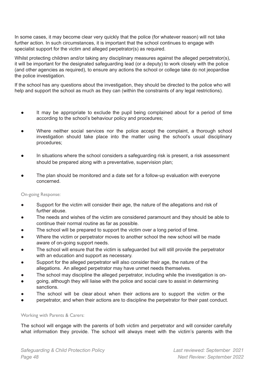In some cases, it may become clear very quickly that the police (for whatever reason) will not take further action. In such circumstances, it is important that the school continues to engage with specialist support for the victim and alleged perpetrator(s) as required.

Whilst protecting children and/or taking any disciplinary measures against the alleged perpetrator(s), it will be important for the designated safeguarding lead (or a deputy) to work closely with the police (and other agencies as required), to ensure any actions the school or college take do not jeopardise the police investigation.

If the school has any questions about the investigation, they should be directed to the police who will help and support the school as much as they can (within the constraints of any legal restrictions).

- It may be appropriate to exclude the pupil being complained about for a period of time according to the school's behaviour policy and procedures;
- Where neither social services nor the police accept the complaint, a thorough school investigation should take place into the matter using the school's usual disciplinary procedures;
- In situations where the school considers a safeguarding risk is present, a risk assessment should be prepared along with a preventative, supervision plan;
- The plan should be monitored and a date set for a follow-up evaluation with everyone concerned.

#### <span id="page-47-0"></span>On-going Response:

- Support for the victim will consider their age, the nature of the allegations and risk of further abuse.
- The needs and wishes of the victim are considered paramount and they should be able to continue their normal routine as far as possible.
- The school will be prepared to support the victim over a long period of time.
- Where the victim or perpetrator moves to another school the new school will be made aware of on-going support needs.
- The school will ensure that the victim is safeguarded but will still provide the perpetrator with an education and support as necessary.
- Support for the alleged perpetrator will also consider their age, the nature of the allegations. An alleged perpetrator may have unmet needs themselves.
- The school may discipline the alleged perpetrator, including while the investigation is on-
- going, although they will liaise with the police and social care to assist in determining sanctions.
- The school will be clear about when their actions are to support the victim or the
- perpetrator, and when their actions are to discipline the perpetrator for their past conduct.

#### <span id="page-47-1"></span>Working with Parents & Carers:

The school will engage with the parents of both victim and perpetrator and will consider carefully what information they provide. The school will always meet with the victim's parents with the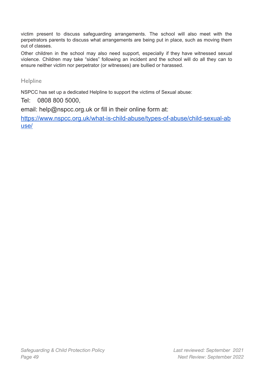victim present to discuss safeguarding arrangements. The school will also meet with the perpetrators parents to discuss what arrangements are being put in place, such as moving them out of classes.

Other children in the school may also need support, especially if they have witnessed sexual violence. Children may take "sides" following an incident and the school will do all they can to ensure neither victim nor perpetrator (or witnesses) are bullied or harassed.

**Helpline** 

NSPCC has set up a dedicated Helpline to support the victims of Sexual abuse:

Tel: 0808 800 5000,

email: help@nspcc.org.uk or fill in their online form at:

[https://www.nspcc.org.uk/what-is-child-abuse/types-of-abuse/child-sexual-ab](https://www.nspcc.org.uk/what-is-child-abuse/types-of-abuse/child-sexual-abuse/) [use/](https://www.nspcc.org.uk/what-is-child-abuse/types-of-abuse/child-sexual-abuse/)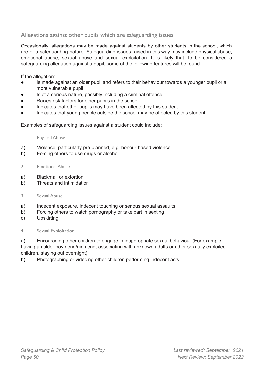# <span id="page-49-0"></span>Allegations against other pupils which are safeguarding issues

Occasionally, allegations may be made against students by other students in the school, which are of a safeguarding nature. Safeguarding issues raised in this way may include physical abuse, emotional abuse, sexual abuse and sexual exploitation. It is likely that, to be considered a safeguarding allegation against a pupil, some of the following features will be found.

If the allegation:-

- Is made against an older pupil and refers to their behaviour towards a younger pupil or a more vulnerable pupil
- Is of a serious nature, possibly including a criminal offence
- Raises risk factors for other pupils in the school
- Indicates that other pupils may have been affected by this student
- Indicates that young people outside the school may be affected by this student

Examples of safeguarding issues against a student could include:

- <span id="page-49-1"></span>1. Physical Abuse
- a) Violence, particularly pre-planned, e.g. honour-based violence
- b) Forcing others to use drugs or alcohol
- <span id="page-49-2"></span>2. Emotional Abuse
- a) Blackmail or extortion
- b) Threats and intimidation
- <span id="page-49-3"></span>3. Sexual Abuse
- a) Indecent exposure, indecent touching or serious sexual assaults
- b) Forcing others to watch pornography or take part in sexting
- c) Upskirting
- <span id="page-49-4"></span>4. Sexual Exploitation

a) Encouraging other children to engage in inappropriate sexual behaviour (For example having an older boyfriend/girlfriend, associating with unknown adults or other sexually exploited children, staying out overnight)

b) Photographing or videoing other children performing indecent acts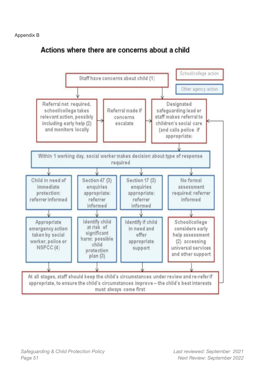# Actions where there are concerns about a child

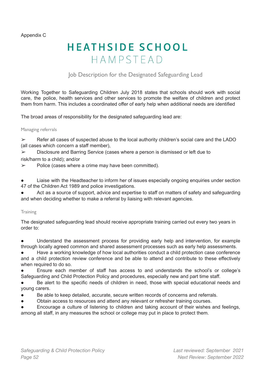Appendix C

# **HEATHSIDE SCHOOL** HAMPSTEAD

# Job Description for the Designated Safeguarding Lead

<span id="page-51-0"></span>Working Together to Safeguarding Children July 2018 states that schools should work with social care, the police, health services and other services to promote the welfare of children and protect them from harm. This includes a coordinated offer of early help when additional needs are identified

The broad areas of responsibility for the designated safeguarding lead are:

#### <span id="page-51-1"></span>Managing referrals

 $\triangleright$  Refer all cases of suspected abuse to the local authority children's social care and the LADO (all cases which concern a staff member),

➢ Disclosure and Barring Service (cases where a person is dismissed or left due to risk/harm to a child); and/or

 $\triangleright$  Police (cases where a crime may have been committed).

Liaise with the Headteacher to inform her of issues especially ongoing enquiries under section 47 of the Children Act 1989 and police investigations.

Act as a source of support, advice and expertise to staff on matters of safety and safeguarding and when deciding whether to make a referral by liaising with relevant agencies.

#### <span id="page-51-2"></span>**Training**

The designated safeguarding lead should receive appropriate training carried out every two years in order to:

Understand the assessment process for providing early help and intervention, for example through locally agreed common and shared assessment processes such as early help assessments.

Have a working knowledge of how local authorities conduct a child protection case conference and a child protection review conference and be able to attend and contribute to these effectively when required to do so.

Ensure each member of staff has access to and understands the school's or college's Safeguarding and Child Protection Policy and procedures, especially new and part time staff.

Be alert to the specific needs of children in need, those with special educational needs and young carers.

- Be able to keep detailed, accurate, secure written records of concerns and referrals.
- Obtain access to resources and attend any relevant or refresher training courses.

Encourage a culture of listening to children and taking account of their wishes and feelings, among all staff, in any measures the school or college may put in place to protect them.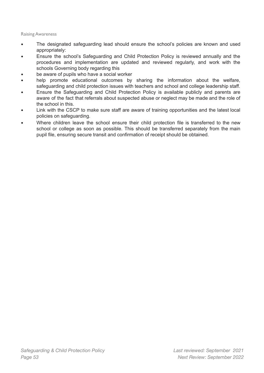#### <span id="page-52-0"></span>Raising Awareness

- The designated safeguarding lead should ensure the school's policies are known and used appropriately:
- Ensure the school's Safeguarding and Child Protection Policy is reviewed annually and the procedures and implementation are updated and reviewed regularly, and work with the schools Governing body regarding this
- be aware of pupils who have a social worker
- help promote educational outcomes by sharing the information about the welfare, safeguarding and child protection issues with teachers and school and college leadership staff.
- Ensure the Safeguarding and Child Protection Policy is available publicly and parents are aware of the fact that referrals about suspected abuse or neglect may be made and the role of the school in this.
- Link with the CSCP to make sure staff are aware of training opportunities and the latest local policies on safeguarding.
- Where children leave the school ensure their child protection file is transferred to the new school or college as soon as possible. This should be transferred separately from the main pupil file, ensuring secure transit and confirmation of receipt should be obtained.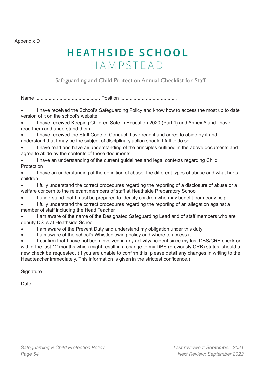Appendix D

# **HEATHSIDE SCHOOL** HAMPSTEAD

Safeguarding and Child Protection Annual Checklist for Staff

<span id="page-53-0"></span>Name ................................................ Position ..........................................

• I have received the School's Safeguarding Policy and know how to access the most up to date version of it on the school's website

• I have received Keeping Children Safe in Education 2020 (Part 1) and Annex A and I have read them and understand them.

• I have received the Staff Code of Conduct, have read it and agree to abide by it and understand that I may be the subject of disciplinary action should I fail to do so.

I have read and have an understanding of the principles outlined in the above documents and agree to abide by the contents of these documents

• I have an understanding of the current guidelines and legal contexts regarding Child **Protection** 

• I have an understanding of the definition of abuse, the different types of abuse and what hurts children

• I fully understand the correct procedures regarding the reporting of a disclosure of abuse or a welfare concern to the relevant members of staff at Heathside Preparatory School

• I understand that I must be prepared to identify children who may benefit from early help

• I fully understand the correct procedures regarding the reporting of an allegation against a member of staff including the Head Teacher

• I am aware of the name of the Designated Safeguarding Lead and of staff members who are deputy DSLs at Heathside School

I am aware of the Prevent Duty and understand my obligation under this duty

I am aware of the school's Whistleblowing policy and where to access it

• I confirm that I have not been involved in any activity/incident since my last DBS/CRB check or within the last 12 months which might result in a change to my DBS (previously CRB) status, should a new check be requested. (If you are unable to confirm this, please detail any changes in writing to the Headteacher immediately. This information is given in the strictest confidence.)

Signature .........................................................................................................

Date ...............................................................................................................